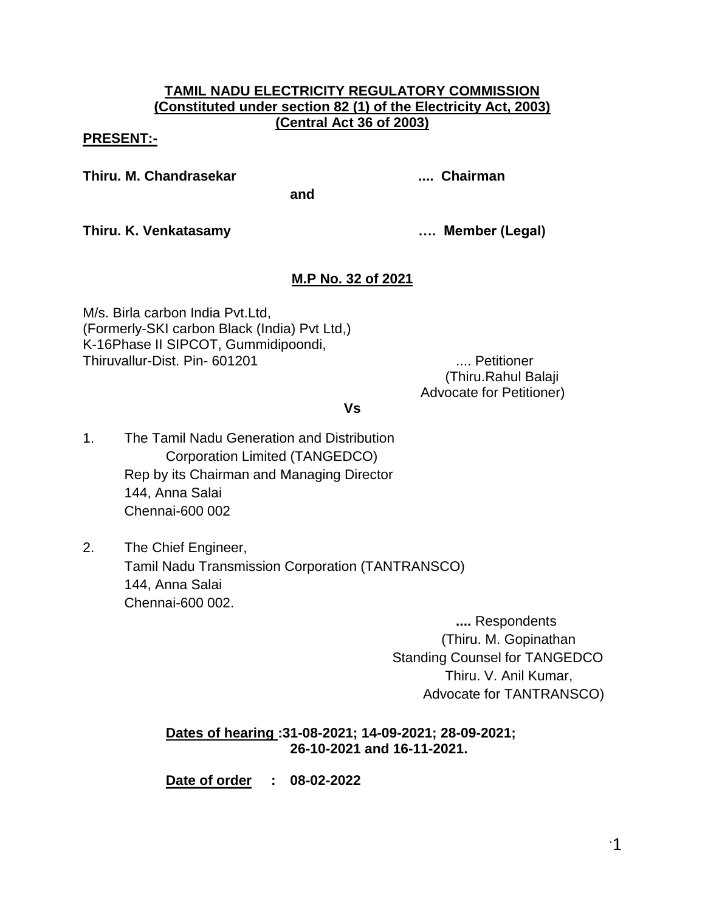### **TAMIL NADU ELECTRICITY REGULATORY COMMISSION (Constituted under section 82 (1) of the Electricity Act, 2003) (Central Act 36 of 2003)**

### **PRESENT:-**

**Thiru. M. Chandrasekar .... Chairman**

**and**

**Thiru. K. Venkatasamy …. Member (Legal)**

# **M.P No. 32 of 2021**

M/s. Birla carbon India Pvt.Ltd, (Formerly-SKI carbon Black (India) Pvt Ltd,) K-16Phase II SIPCOT, Gummidipoondi, Thiruvallur-Dist. Pin- 601201 .... Petitioner

(Thiru.Rahul Balaji Advocate for Petitioner)

**Vs**

- 1. The Tamil Nadu Generation and Distribution Corporation Limited (TANGEDCO) Rep by its Chairman and Managing Director 144, Anna Salai Chennai-600 002
- 2. The Chief Engineer, Tamil Nadu Transmission Corporation (TANTRANSCO) 144, Anna Salai Chennai-600 002.

**....** Respondents (Thiru. M. Gopinathan Standing Counsel for TANGEDCO Thiru. V. Anil Kumar, Advocate for TANTRANSCO)

# **Dates of hearing :31-08-2021; 14-09-2021; 28-09-2021; 26-10-2021 and 16-11-2021.**

**Date of order : 08-02-2022**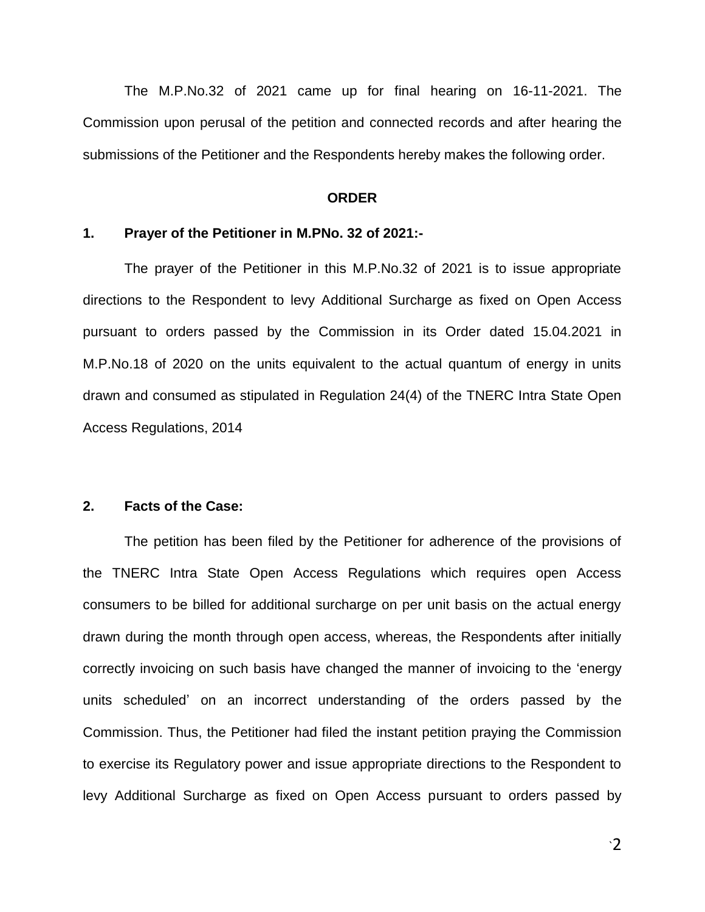The M.P.No.32 of 2021 came up for final hearing on 16-11-2021. The Commission upon perusal of the petition and connected records and after hearing the submissions of the Petitioner and the Respondents hereby makes the following order.

#### **ORDER**

#### **1. Prayer of the Petitioner in M.PNo. 32 of 2021:-**

The prayer of the Petitioner in this M.P.No.32 of 2021 is to issue appropriate directions to the Respondent to levy Additional Surcharge as fixed on Open Access pursuant to orders passed by the Commission in its Order dated 15.04.2021 in M.P.No.18 of 2020 on the units equivalent to the actual quantum of energy in units drawn and consumed as stipulated in Regulation 24(4) of the TNERC Intra State Open Access Regulations, 2014

#### **2. Facts of the Case:**

The petition has been filed by the Petitioner for adherence of the provisions of the TNERC Intra State Open Access Regulations which requires open Access consumers to be billed for additional surcharge on per unit basis on the actual energy drawn during the month through open access, whereas, the Respondents after initially correctly invoicing on such basis have changed the manner of invoicing to the "energy units scheduled" on an incorrect understanding of the orders passed by the Commission. Thus, the Petitioner had filed the instant petition praying the Commission to exercise its Regulatory power and issue appropriate directions to the Respondent to levy Additional Surcharge as fixed on Open Access pursuant to orders passed by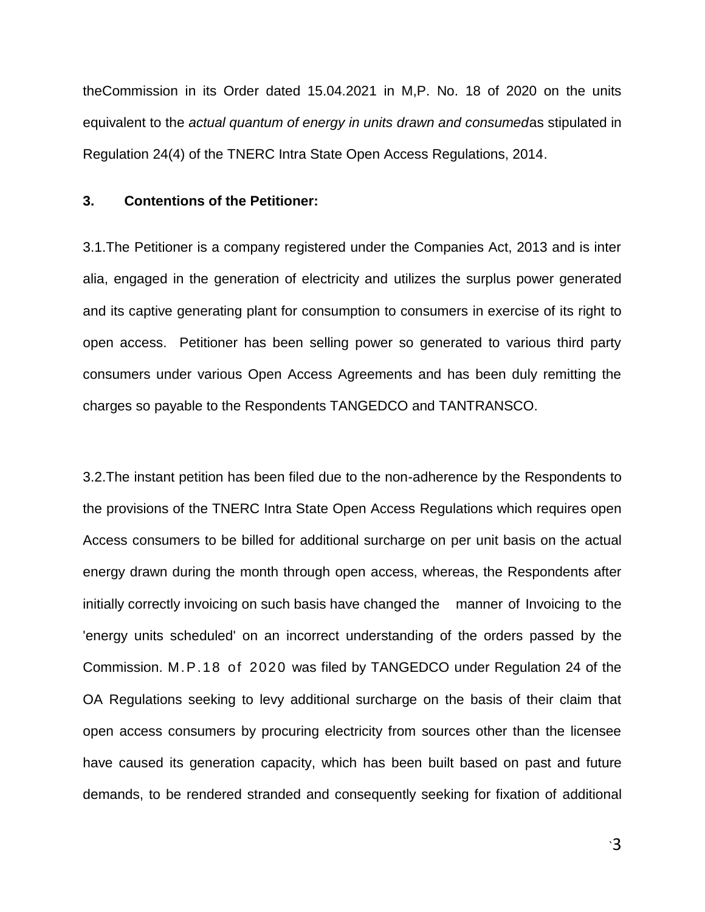theCommission in its Order dated 15.04.2021 in M,P. No. 18 of 2020 on the units equivalent to the *actual quantum of energy in units drawn and consumed*as stipulated in Regulation 24(4) of the TNERC Intra State Open Access Regulations, 2014.

#### **3. Contentions of the Petitioner:**

3.1.The Petitioner is a company registered under the Companies Act, 2013 and is inter alia, engaged in the generation of electricity and utilizes the surplus power generated and its captive generating plant for consumption to consumers in exercise of its right to open access. Petitioner has been selling power so generated to various third party consumers under various Open Access Agreements and has been duly remitting the charges so payable to the Respondents TANGEDCO and TANTRANSCO.

3.2.The instant petition has been filed due to the non-adherence by the Respondents to the provisions of the TNERC Intra State Open Access Regulations which requires open Access consumers to be billed for additional surcharge on per unit basis on the actual energy drawn during the month through open access, whereas, the Respondents after initially correctly invoicing on such basis have changed the manner of Invoicing to the 'energy units scheduled' on an incorrect understanding of the orders passed by the Commission. M.P.18 of 2020 was filed by TANGEDCO under Regulation 24 of the OA Regulations seeking to levy additional surcharge on the basis of their claim that open access consumers by procuring electricity from sources other than the licensee have caused its generation capacity, which has been built based on past and future demands, to be rendered stranded and consequently seeking for fixation of additional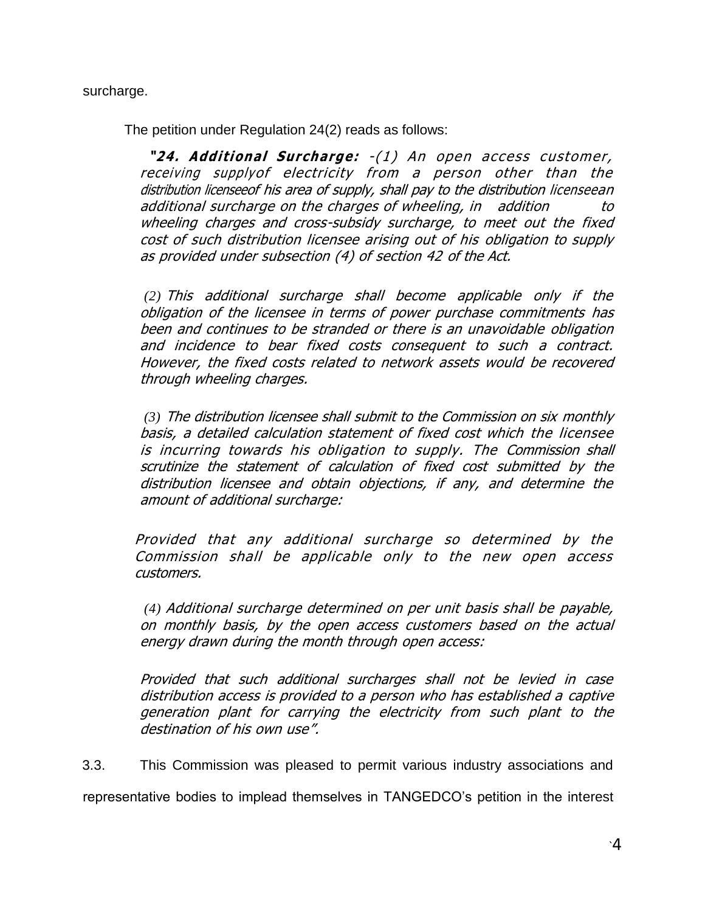surcharge.

The petition under Regulation 24(2) reads as follows:

**"24. Additional Surcharge:** -(1) An open access customer, receiving supplyof electricity from a person other than the distribution licenseeof his area of supply, shall pay to the distribution licenseean additional surcharge on the charges of wheeling, in addition to wheeling charges and cross-subsidy surcharge, to meet out the fixed cost of such distribution licensee arising out of his obligation to supply as provided under subsection (4) of section 42 of the Act.

*(2)* This additional surcharge shall become applicable only if the obligation of the licensee in terms of power purchase commitments has been and continues to be stranded or there is an unavoidable obligation and incidence to bear fixed costs consequent to such a contract. However, the fixed costs related to network assets would be recovered through wheeling charges.

*(3)* The distribution licensee shall submit to the Commission on six monthly basis, a detailed calculation statement of fixed cost which the licensee is incurring towards his obligation to supply. The Commission shall scrutinize the statement of calculation of fixed cost submitted by the distribution licensee and obtain objections, if any, and determine the amount of additional surcharge:

Provided that any additional surcharge so determined by the Commission shall be applicable only to the new open access customers.

*(4)* Additional surcharge determined on per unit basis shall be payable, on monthly basis, by the open access customers based on the actual energy drawn during the month through open access:

Provided that such additional surcharges shall not be levied in case distribution access is provided to a person who has established a captive generation plant for carrying the electricity from such plant to the destination of his own use".

3.3. This Commission was pleased to permit various industry associations and

representative bodies to implead themselves in TANGEDCO"s petition in the interest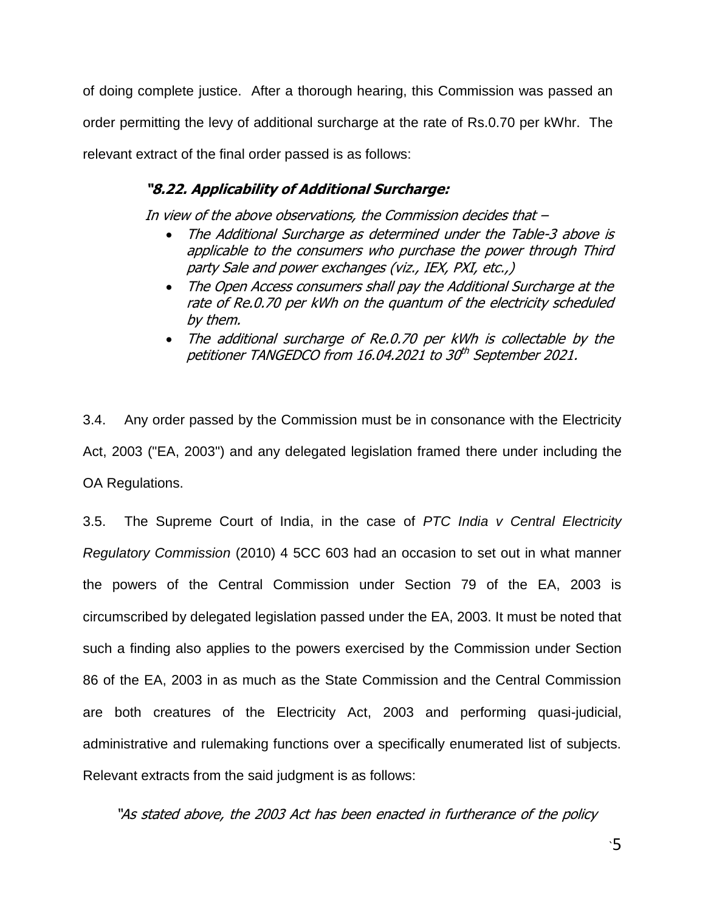of doing complete justice. After a thorough hearing, this Commission was passed an order permitting the levy of additional surcharge at the rate of Rs.0.70 per kWhr. The relevant extract of the final order passed is as follows:

# **"8.22. Applicability of Additional Surcharge:**

In view of the above observations, the Commission decides that –

- The Additional Surcharge as determined under the Table-3 above is applicable to the consumers who purchase the power through Third party Sale and power exchanges (viz., IEX, PXI, etc.,)
- The Open Access consumers shall pay the Additional Surcharge at the rate of Re.0.70 per kWh on the quantum of the electricity scheduled by them.
- The additional surcharge of Re.0.70 per kWh is collectable by the petitioner TANGEDCO from 16.04.2021 to 30<sup>th</sup> September 2021.

3.4. Any order passed by the Commission must be in consonance with the Electricity Act, 2003 ("EA, 2003") and any delegated legislation framed there under including the OA Regulations.

3.5. The Supreme Court of India, in the case of *PTC India v Central Electricity Regulatory Commission* (2010) 4 5CC 603 had an occasion to set out in what manner the powers of the Central Commission under Section 79 of the EA, 2003 is circumscribed by delegated legislation passed under the EA, 2003. It must be noted that such a finding also applies to the powers exercised by the Commission under Section 86 of the EA, 2003 in as much as the State Commission and the Central Commission are both creatures of the Electricity Act, 2003 and performing quasi-judicial, administrative and rulemaking functions over a specifically enumerated list of subjects. Relevant extracts from the said judgment is as follows:

"As stated above, the 2003 Act has been enacted in furtherance of the policy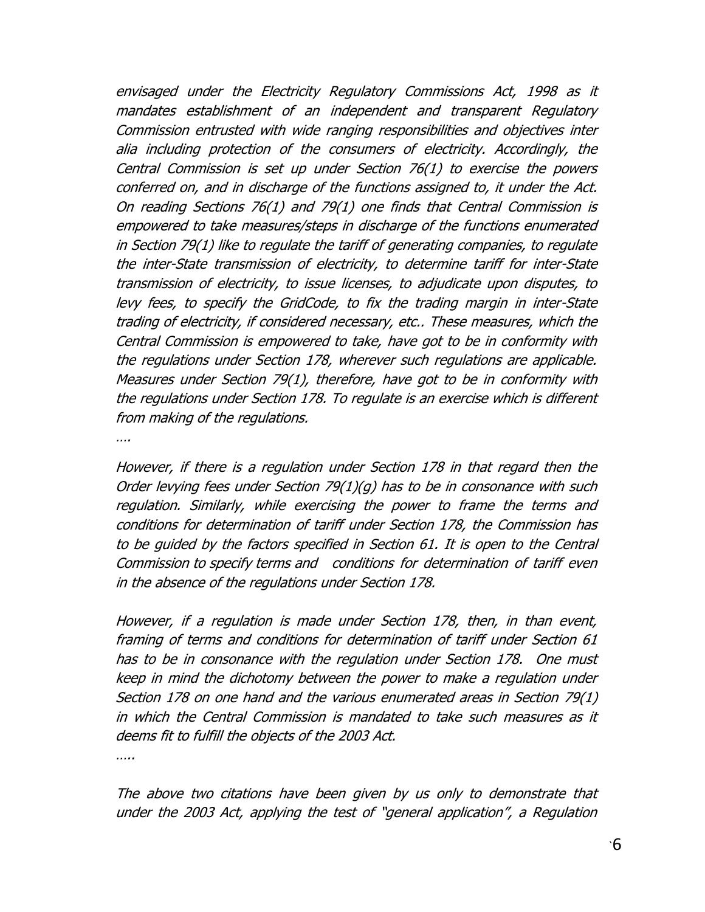envisaged under the Electricity Regulatory Commissions Act, 1998 as it mandates establishment of an independent and transparent Regulatory Commission entrusted with wide ranging responsibilities and objectives inter alia including protection of the consumers of electricity. Accordingly, the Central Commission is set up under Section 76(1) to exercise the powers conferred on, and in discharge of the functions assigned to, it under the Act. On reading Sections 76(1) and 79(1) one finds that Central Commission is empowered to take measures/steps in discharge of the functions enumerated in Section 79(1) like to regulate the tariff of generating companies, to regulate the inter-State transmission of electricity, to determine tariff for inter-State transmission of electricity, to issue licenses, to adjudicate upon disputes, to levy fees, to specify the GridCode, to fix the trading margin in inter-State trading of electricity, if considered necessary, etc.. These measures, which the Central Commission is empowered to take, have got to be in conformity with the regulations under Section 178, wherever such regulations are applicable. Measures under Section 79(1), therefore, have got to be in conformity with the regulations under Section 178. To regulate is an exercise which is different from making of the regulations.

….

However, if there is a regulation under Section 178 in that regard then the Order levying fees under Section 79(1)(g) has to be in consonance with such regulation. Similarly, while exercising the power to frame the terms and conditions for determination of tariff under Section 178, the Commission has to be guided by the factors specified in Section 61. It is open to the Central Commission to specify terms and conditions for determination of tariff even in the absence of the regulations under Section 178.

However, if a regulation is made under Section 178, then, in than event, framing of terms and conditions for determination of tariff under Section 61 has to be in consonance with the regulation under Section 178. One must keep in mind the dichotomy between the power to make a regulation under Section 178 on one hand and the various enumerated areas in Section 79(1) in which the Central Commission is mandated to take such measures as it deems fit to fulfill the objects of the 2003 Act.

…..

The above two citations have been given by us only to demonstrate that under the 2003 Act, applying the test of "general application", a Regulation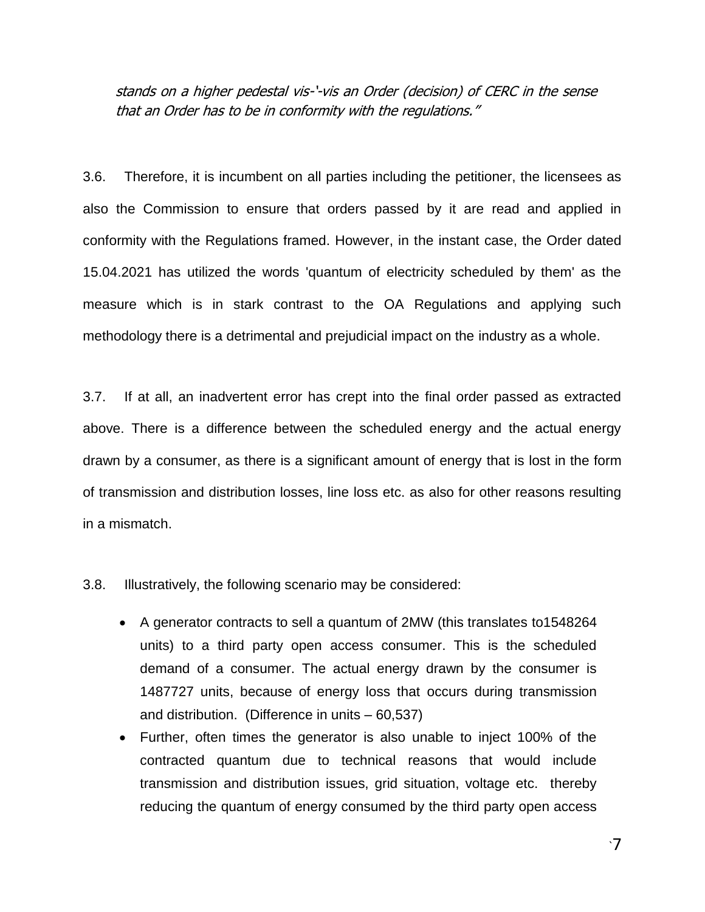stands on a higher pedestal vis-"-vis an Order (decision) of CERC in the sense that an Order has to be in conformity with the regulations."

3.6. Therefore, it is incumbent on all parties including the petitioner, the licensees as also the Commission to ensure that orders passed by it are read and applied in conformity with the Regulations framed. However, in the instant case, the Order dated 15.04.2021 has utilized the words 'quantum of electricity scheduled by them' as the measure which is in stark contrast to the OA Regulations and applying such methodology there is a detrimental and prejudicial impact on the industry as a whole.

3.7. If at all, an inadvertent error has crept into the final order passed as extracted above. There is a difference between the scheduled energy and the actual energy drawn by a consumer, as there is a significant amount of energy that is lost in the form of transmission and distribution losses, line loss etc. as also for other reasons resulting in a mismatch.

3.8. Illustratively, the following scenario may be considered:

- A generator contracts to sell a quantum of 2MW (this translates to1548264 units) to a third party open access consumer. This is the scheduled demand of a consumer. The actual energy drawn by the consumer is 1487727 units, because of energy loss that occurs during transmission and distribution. (Difference in units – 60,537)
- Further, often times the generator is also unable to inject 100% of the contracted quantum due to technical reasons that would include transmission and distribution issues, grid situation, voltage etc. thereby reducing the quantum of energy consumed by the third party open access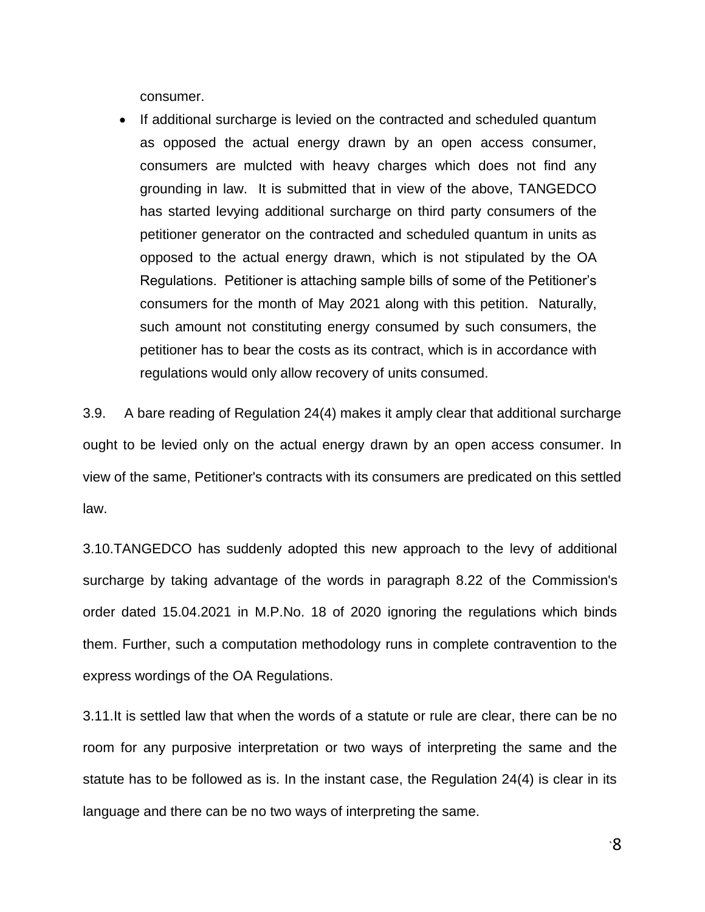consumer.

 If additional surcharge is levied on the contracted and scheduled quantum as opposed the actual energy drawn by an open access consumer, consumers are mulcted with heavy charges which does not find any grounding in law. It is submitted that in view of the above, TANGEDCO has started levying additional surcharge on third party consumers of the petitioner generator on the contracted and scheduled quantum in units as opposed to the actual energy drawn, which is not stipulated by the OA Regulations. Petitioner is attaching sample bills of some of the Petitioner"s consumers for the month of May 2021 along with this petition. Naturally, such amount not constituting energy consumed by such consumers, the petitioner has to bear the costs as its contract, which is in accordance with regulations would only allow recovery of units consumed.

3.9. A bare reading of Regulation 24(4) makes it amply clear that additional surcharge ought to be levied only on the actual energy drawn by an open access consumer. In view of the same, Petitioner's contracts with its consumers are predicated on this settled law.

3.10.TANGEDCO has suddenly adopted this new approach to the levy of additional surcharge by taking advantage of the words in paragraph 8.22 of the Commission's order dated 15.04.2021 in M.P.No. 18 of 2020 ignoring the regulations which binds them. Further, such a computation methodology runs in complete contravention to the express wordings of the OA Regulations.

3.11.It is settled law that when the words of a statute or rule are clear, there can be no room for any purposive interpretation or two ways of interpreting the same and the statute has to be followed as is. In the instant case, the Regulation 24(4) is clear in its language and there can be no two ways of interpreting the same.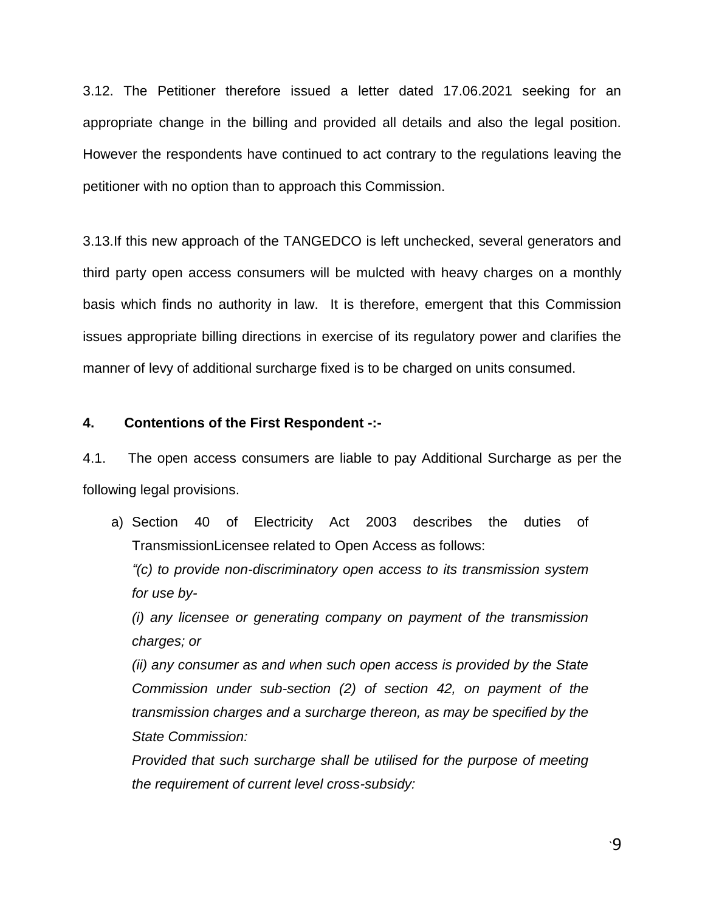3.12. The Petitioner therefore issued a letter dated 17.06.2021 seeking for an appropriate change in the billing and provided all details and also the legal position. However the respondents have continued to act contrary to the regulations leaving the petitioner with no option than to approach this Commission.

3.13.If this new approach of the TANGEDCO is left unchecked, several generators and third party open access consumers will be mulcted with heavy charges on a monthly basis which finds no authority in law. It is therefore, emergent that this Commission issues appropriate billing directions in exercise of its regulatory power and clarifies the manner of levy of additional surcharge fixed is to be charged on units consumed.

#### **4. Contentions of the First Respondent -:-**

4.1. The open access consumers are liable to pay Additional Surcharge as per the following legal provisions.

a) Section 40 of Electricity Act 2003 describes the duties of TransmissionLicensee related to Open Access as follows:

*―(c) to provide non-discriminatory open access to its transmission system for use by-*

*(i) any licensee or generating company on payment of the transmission charges; or* 

*(ii) any consumer as and when such open access is provided by the State Commission under sub-section (2) of section 42, on payment of the transmission charges and a surcharge thereon, as may be specified by the State Commission:* 

*Provided that such surcharge shall be utilised for the purpose of meeting the requirement of current level cross-subsidy:*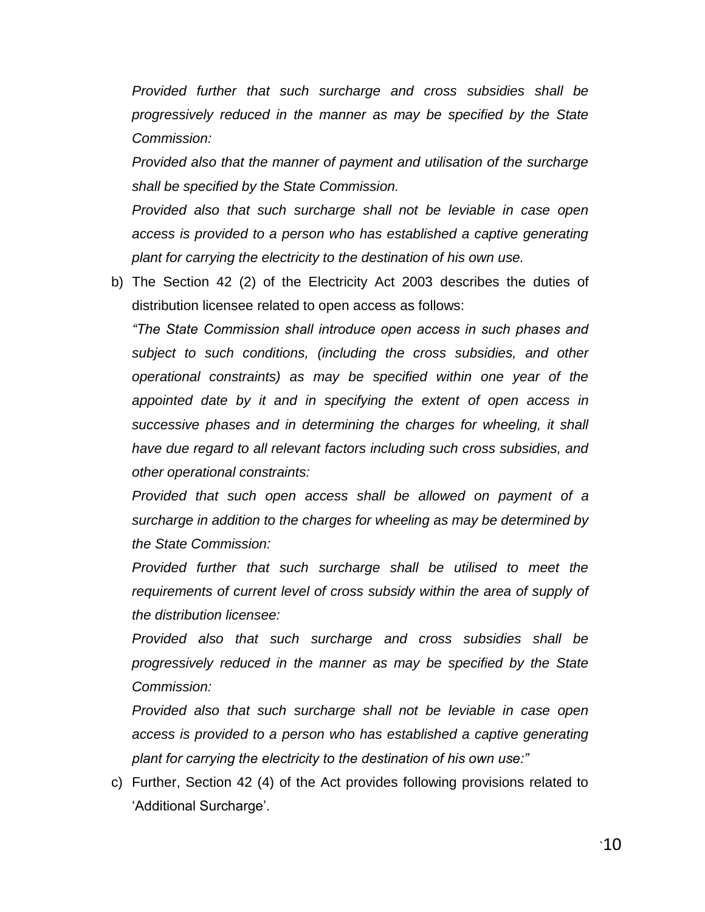*Provided further that such surcharge and cross subsidies shall be progressively reduced in the manner as may be specified by the State Commission:*

*Provided also that the manner of payment and utilisation of the surcharge shall be specified by the State Commission.*

*Provided also that such surcharge shall not be leviable in case open access is provided to a person who has established a captive generating plant for carrying the electricity to the destination of his own use.*

b) The Section 42 (2) of the Electricity Act 2003 describes the duties of distribution licensee related to open access as follows:

*―The State Commission shall introduce open access in such phases and subject to such conditions, (including the cross subsidies, and other operational constraints) as may be specified within one year of the appointed date by it and in specifying the extent of open access in successive phases and in determining the charges for wheeling, it shall have due regard to all relevant factors including such cross subsidies, and other operational constraints:* 

*Provided that such open access shall be allowed on payment of a surcharge in addition to the charges for wheeling as may be determined by the State Commission:* 

*Provided further that such surcharge shall be utilised to meet the requirements of current level of cross subsidy within the area of supply of the distribution licensee:* 

*Provided also that such surcharge and cross subsidies shall be progressively reduced in the manner as may be specified by the State Commission:* 

*Provided also that such surcharge shall not be leviable in case open access is provided to a person who has established a captive generating plant for carrying the electricity to the destination of his own use:‖* 

c) Further, Section 42 (4) of the Act provides following provisions related to 'Additional Surcharge'.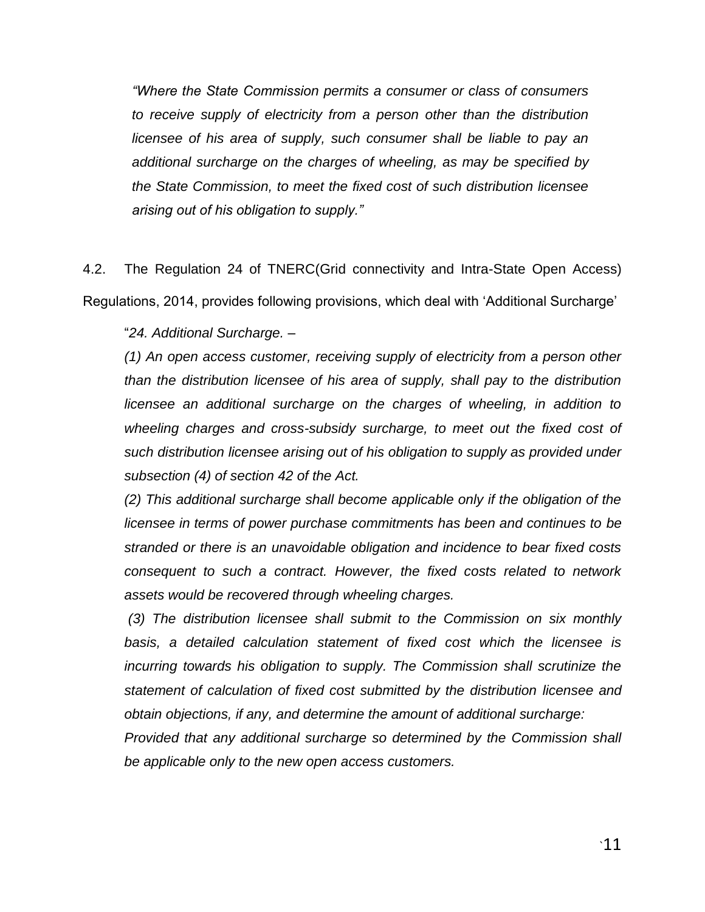*―Where the State Commission permits a consumer or class of consumers to receive supply of electricity from a person other than the distribution licensee of his area of supply, such consumer shall be liable to pay an additional surcharge on the charges of wheeling, as may be specified by the State Commission, to meet the fixed cost of such distribution licensee arising out of his obligation to supply.‖* 

4.2. The Regulation 24 of TNERC(Grid connectivity and Intra-State Open Access) Regulations, 2014, provides following provisions, which deal with "Additional Surcharge"

"*24. Additional Surcharge. –*

*(1) An open access customer, receiving supply of electricity from a person other than the distribution licensee of his area of supply, shall pay to the distribution licensee an additional surcharge on the charges of wheeling, in addition to wheeling charges and cross-subsidy surcharge, to meet out the fixed cost of such distribution licensee arising out of his obligation to supply as provided under subsection (4) of section 42 of the Act.*

*(2) This additional surcharge shall become applicable only if the obligation of the licensee in terms of power purchase commitments has been and continues to be stranded or there is an unavoidable obligation and incidence to bear fixed costs consequent to such a contract. However, the fixed costs related to network assets would be recovered through wheeling charges.*

*(3) The distribution licensee shall submit to the Commission on six monthly basis, a detailed calculation statement of fixed cost which the licensee is incurring towards his obligation to supply. The Commission shall scrutinize the statement of calculation of fixed cost submitted by the distribution licensee and obtain objections, if any, and determine the amount of additional surcharge:*

*Provided that any additional surcharge so determined by the Commission shall be applicable only to the new open access customers.*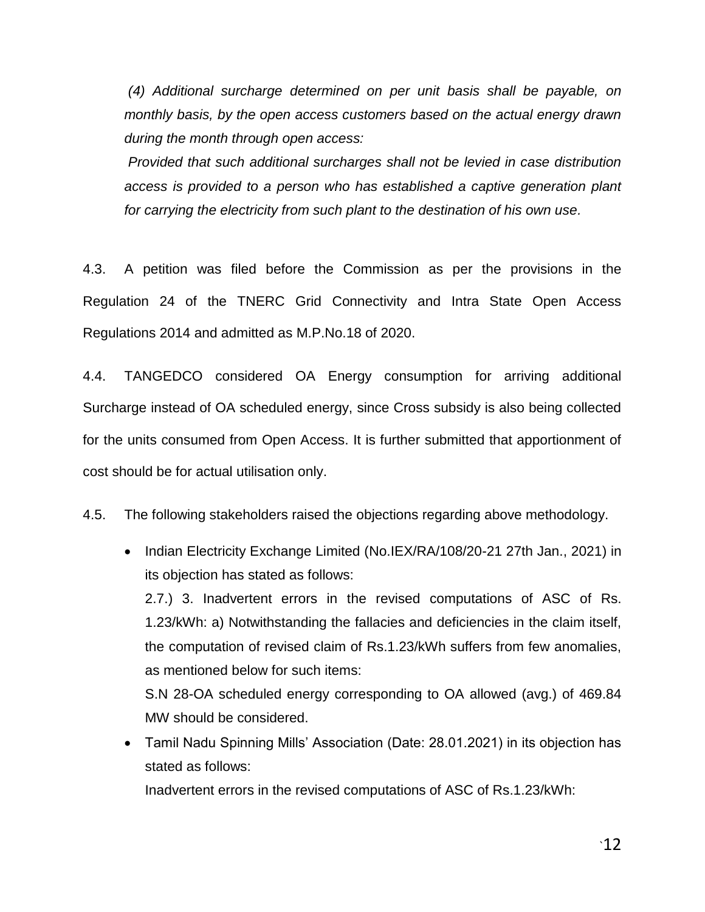*(4) Additional surcharge determined on per unit basis shall be payable, on monthly basis, by the open access customers based on the actual energy drawn during the month through open access:*

*Provided that such additional surcharges shall not be levied in case distribution access is provided to a person who has established a captive generation plant for carrying the electricity from such plant to the destination of his own use.*

4.3. A petition was filed before the Commission as per the provisions in the Regulation 24 of the TNERC Grid Connectivity and Intra State Open Access Regulations 2014 and admitted as M.P.No.18 of 2020.

4.4. TANGEDCO considered OA Energy consumption for arriving additional Surcharge instead of OA scheduled energy, since Cross subsidy is also being collected for the units consumed from Open Access. It is further submitted that apportionment of cost should be for actual utilisation only.

4.5. The following stakeholders raised the objections regarding above methodology.

- Indian Electricity Exchange Limited (No.IEX/RA/108/20-21 27th Jan., 2021) in its objection has stated as follows: 2.7.) 3. Inadvertent errors in the revised computations of ASC of Rs. 1.23/kWh: a) Notwithstanding the fallacies and deficiencies in the claim itself, the computation of revised claim of Rs.1.23/kWh suffers from few anomalies, as mentioned below for such items: S.N 28-OA scheduled energy corresponding to OA allowed (avg.) of 469.84 MW should be considered.
- Tamil Nadu Spinning Mills" Association (Date: 28.01.2021) in its objection has stated as follows:

Inadvertent errors in the revised computations of ASC of Rs.1.23/kWh: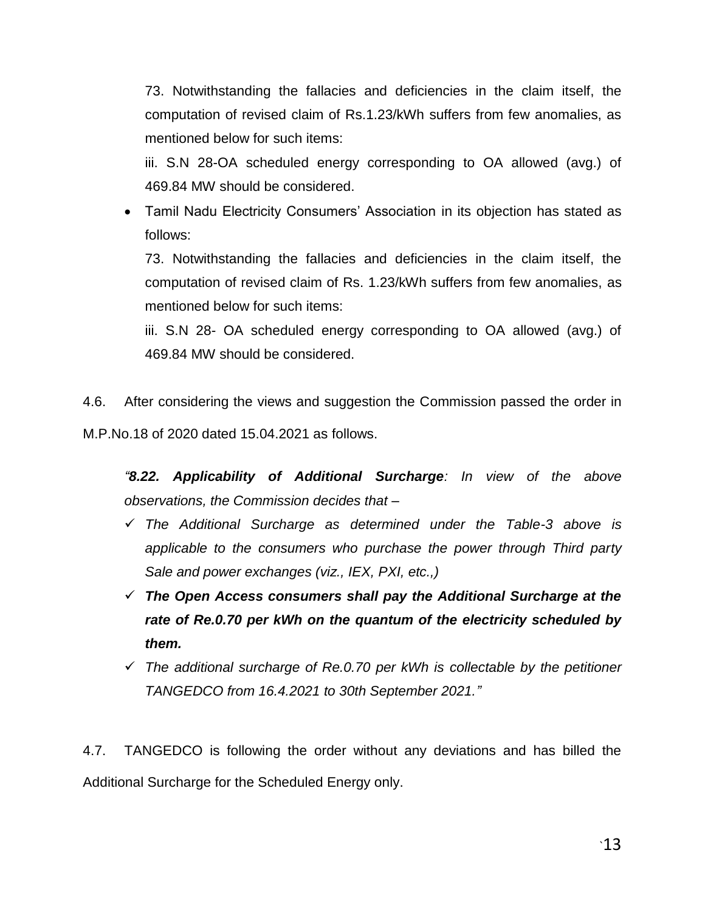73. Notwithstanding the fallacies and deficiencies in the claim itself, the computation of revised claim of Rs.1.23/kWh suffers from few anomalies, as mentioned below for such items:

iii. S.N 28-OA scheduled energy corresponding to OA allowed (avg.) of 469.84 MW should be considered.

• Tamil Nadu Electricity Consumers' Association in its objection has stated as follows:

73. Notwithstanding the fallacies and deficiencies in the claim itself, the computation of revised claim of Rs. 1.23/kWh suffers from few anomalies, as mentioned below for such items:

iii. S.N 28- OA scheduled energy corresponding to OA allowed (avg.) of 469.84 MW should be considered.

4.6. After considering the views and suggestion the Commission passed the order in M.P.No.18 of 2020 dated 15.04.2021 as follows.

*―8.22. Applicability of Additional Surcharge: In view of the above observations, the Commission decides that –*

- *The Additional Surcharge as determined under the Table-3 above is applicable to the consumers who purchase the power through Third party Sale and power exchanges (viz., IEX, PXI, etc.,)*
- *The Open Access consumers shall pay the Additional Surcharge at the rate of Re.0.70 per kWh on the quantum of the electricity scheduled by them.*
- *The additional surcharge of Re.0.70 per kWh is collectable by the petitioner TANGEDCO from 16.4.2021 to 30th September 2021.‖*

4.7. TANGEDCO is following the order without any deviations and has billed the Additional Surcharge for the Scheduled Energy only.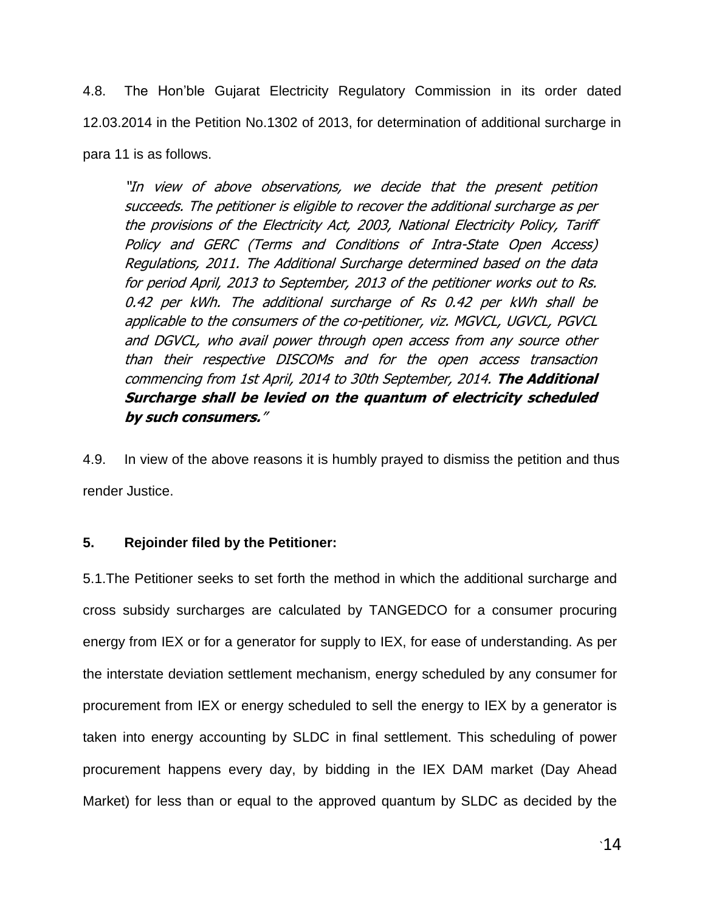4.8. The Hon"ble Gujarat Electricity Regulatory Commission in its order dated 12.03.2014 in the Petition No.1302 of 2013, for determination of additional surcharge in para 11 is as follows.

"In view of above observations, we decide that the present petition succeeds. The petitioner is eligible to recover the additional surcharge as per the provisions of the Electricity Act, 2003, National Electricity Policy, Tariff Policy and GERC (Terms and Conditions of Intra-State Open Access) Regulations, 2011. The Additional Surcharge determined based on the data for period April, 2013 to September, 2013 of the petitioner works out to Rs. 0.42 per kWh. The additional surcharge of Rs 0.42 per kWh shall be applicable to the consumers of the co-petitioner, viz. MGVCL, UGVCL, PGVCL and DGVCL, who avail power through open access from any source other than their respective DISCOMs and for the open access transaction commencing from 1st April, 2014 to 30th September, 2014. **The Additional Surcharge shall be levied on the quantum of electricity scheduled by such consumers.**"

4.9. In view of the above reasons it is humbly prayed to dismiss the petition and thus render Justice.

### **5. Rejoinder filed by the Petitioner:**

5.1.The Petitioner seeks to set forth the method in which the additional surcharge and cross subsidy surcharges are calculated by TANGEDCO for a consumer procuring energy from IEX or for a generator for supply to IEX, for ease of understanding. As per the interstate deviation settlement mechanism, energy scheduled by any consumer for procurement from IEX or energy scheduled to sell the energy to IEX by a generator is taken into energy accounting by SLDC in final settlement. This scheduling of power procurement happens every day, by bidding in the IEX DAM market (Day Ahead Market) for less than or equal to the approved quantum by SLDC as decided by the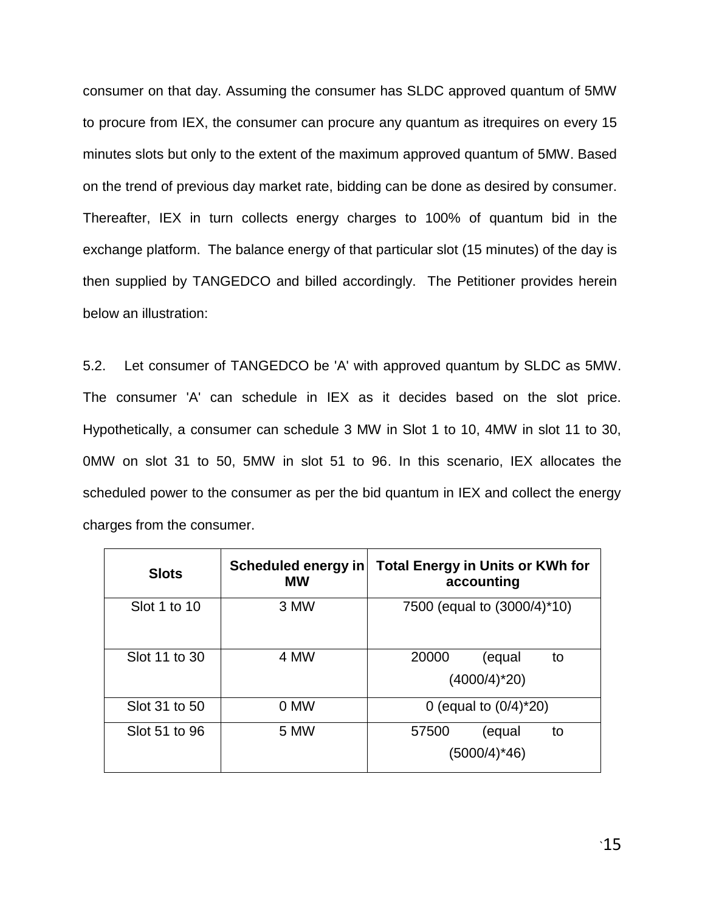consumer on that day. Assuming the consumer has SLDC approved quantum of 5MW to procure from IEX, the consumer can procure any quantum as itrequires on every 15 minutes slots but only to the extent of the maximum approved quantum of 5MW. Based on the trend of previous day market rate, bidding can be done as desired by consumer. Thereafter, IEX in turn collects energy charges to 100% of quantum bid in the exchange platform. The balance energy of that particular slot (15 minutes) of the day is then supplied by TANGEDCO and billed accordingly. The Petitioner provides herein below an illustration:

5.2. Let consumer of TANGEDCO be 'A' with approved quantum by SLDC as 5MW. The consumer 'A' can schedule in IEX as it decides based on the slot price. Hypothetically, a consumer can schedule 3 MW in Slot 1 to 10, 4MW in slot 11 to 30, 0MW on slot 31 to 50, 5MW in slot 51 to 96. In this scenario, IEX allocates the scheduled power to the consumer as per the bid quantum in IEX and collect the energy charges from the consumer.

| <b>Slots</b>  | Scheduled energy in<br><b>MW</b> | <b>Total Energy in Units or KWh for</b><br>accounting |  |  |
|---------------|----------------------------------|-------------------------------------------------------|--|--|
| Slot 1 to 10  | 3 MW                             | 7500 (equal to $(3000/4)$ <sup>*</sup> 10)            |  |  |
| Slot 11 to 30 | 4 MW                             | 20000<br>(equal<br>to<br>$(4000/4)^*20$               |  |  |
| Slot 31 to 50 | 0 MW                             | 0 (equal to $(0/4)^*20$ )                             |  |  |
| Slot 51 to 96 | 5 MW                             | 57500<br>to<br>(equal<br>(5000/4)*46)                 |  |  |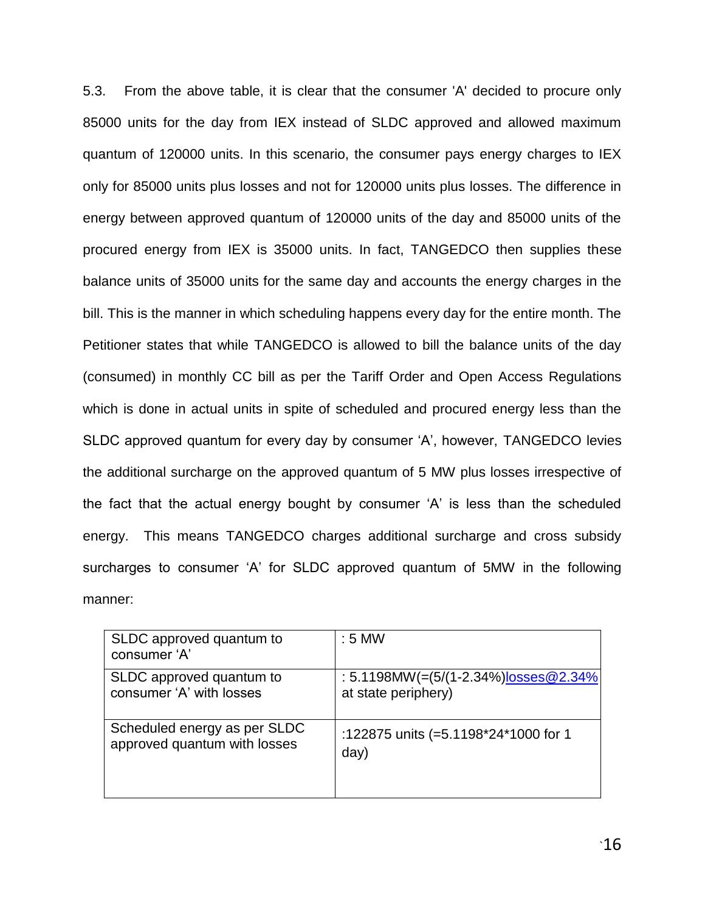5.3. From the above table, it is clear that the consumer 'A' decided to procure only 85000 units for the day from IEX instead of SLDC approved and allowed maximum quantum of 120000 units. In this scenario, the consumer pays energy charges to IEX only for 85000 units plus losses and not for 120000 units plus losses. The difference in energy between approved quantum of 120000 units of the day and 85000 units of the procured energy from IEX is 35000 units. In fact, TANGEDCO then supplies these balance units of 35000 units for the same day and accounts the energy charges in the bill. This is the manner in which scheduling happens every day for the entire month. The Petitioner states that while TANGEDCO is allowed to bill the balance units of the day (consumed) in monthly CC bill as per the Tariff Order and Open Access Regulations which is done in actual units in spite of scheduled and procured energy less than the SLDC approved quantum for every day by consumer "A", however, TANGEDCO levies the additional surcharge on the approved quantum of 5 MW plus losses irrespective of the fact that the actual energy bought by consumer "A" is less than the scheduled energy. This means TANGEDCO charges additional surcharge and cross subsidy surcharges to consumer 'A' for SLDC approved quantum of 5MW in the following manner:

| SLDC approved quantum to<br>consumer 'A' | $: 5$ MW                             |
|------------------------------------------|--------------------------------------|
| SLDC approved quantum to                 | : 5.1198MW(=(5/(1-2.34%)losses@2.34% |
| consumer 'A' with losses                 | at state periphery)                  |
| Scheduled energy as per SLDC             | :122875 units (=5.1198*24*1000 for 1 |
| approved quantum with losses             | day)                                 |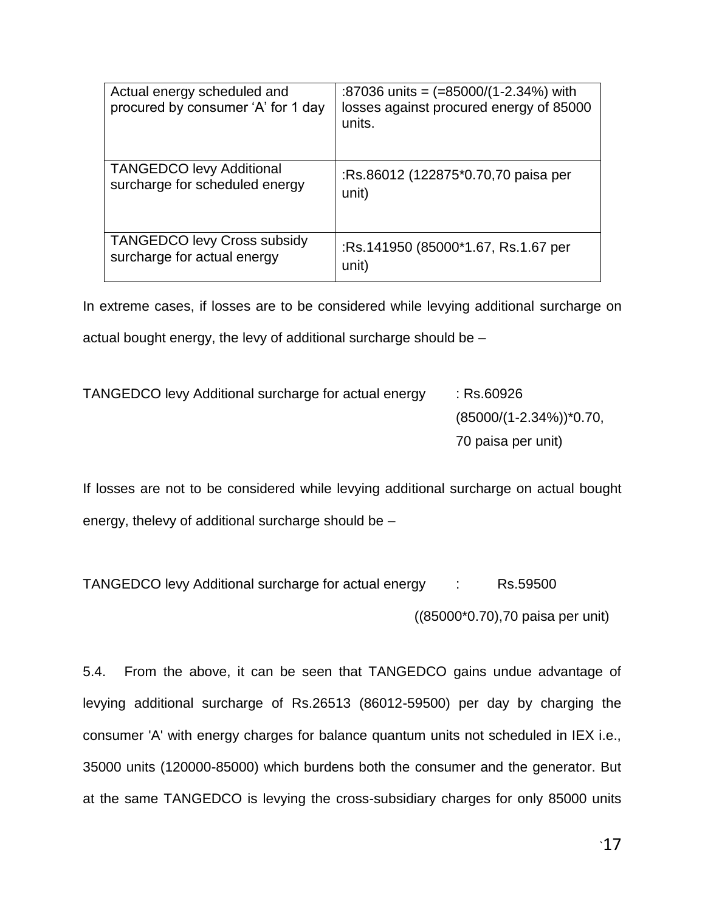| Actual energy scheduled and<br>procured by consumer 'A' for 1 day | :87036 units = $(=85000/(1-2.34\%)$ with<br>losses against procured energy of 85000<br>units. |
|-------------------------------------------------------------------|-----------------------------------------------------------------------------------------------|
| <b>TANGEDCO levy Additional</b>                                   | :Rs.86012 (122875*0.70,70 paisa per                                                           |
| surcharge for scheduled energy                                    | unit)                                                                                         |
| <b>TANGEDCO levy Cross subsidy</b>                                | :Rs.141950 (85000*1.67, Rs.1.67 per                                                           |
| surcharge for actual energy                                       | unit)                                                                                         |

In extreme cases, if losses are to be considered while levying additional surcharge on actual bought energy, the levy of additional surcharge should be –

TANGEDCO levy Additional surcharge for actual energy : Rs.60926 (85000/(1-2.34%))\*0.70, 70 paisa per unit)

If losses are not to be considered while levying additional surcharge on actual bought energy, thelevy of additional surcharge should be –

TANGEDCO levy Additional surcharge for actual energy : Rs.59500 ((85000\*0.70),70 paisa per unit)

5.4. From the above, it can be seen that TANGEDCO gains undue advantage of levying additional surcharge of Rs.26513 (86012-59500) per day by charging the consumer 'A' with energy charges for balance quantum units not scheduled in IEX i.e., 35000 units (120000-85000) which burdens both the consumer and the generator. But at the same TANGEDCO is levying the cross-subsidiary charges for only 85000 units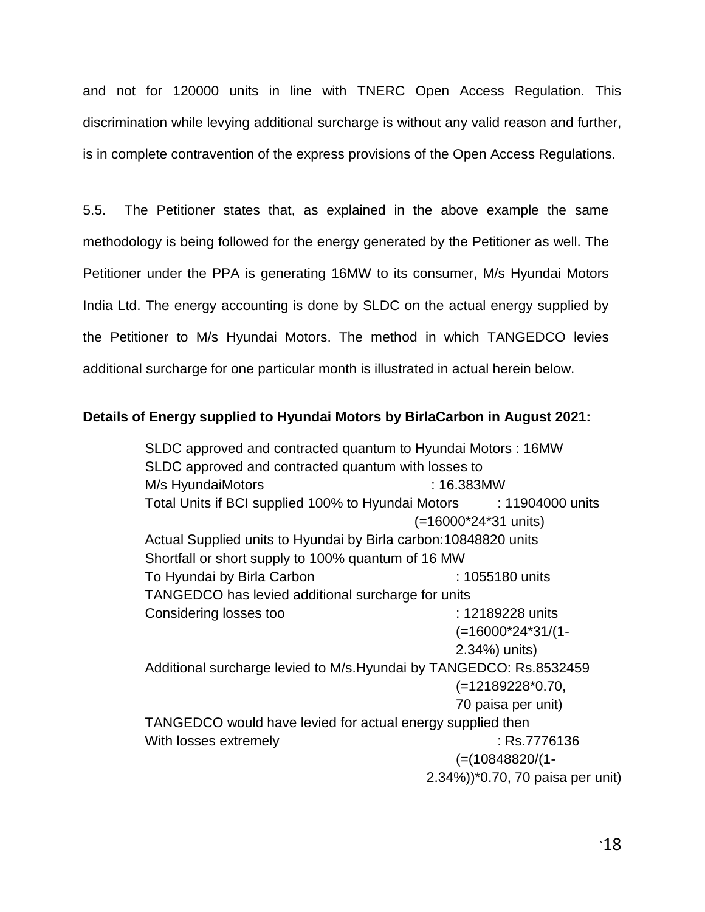and not for 120000 units in line with TNERC Open Access Regulation. This discrimination while levying additional surcharge is without any valid reason and further, is in complete contravention of the express provisions of the Open Access Regulations.

5.5. The Petitioner states that, as explained in the above example the same methodology is being followed for the energy generated by the Petitioner as well. The Petitioner under the PPA is generating 16MW to its consumer, M/s Hyundai Motors India Ltd. The energy accounting is done by SLDC on the actual energy supplied by the Petitioner to M/s Hyundai Motors. The method in which TANGEDCO levies additional surcharge for one particular month is illustrated in actual herein below.

### **Details of Energy supplied to Hyundai Motors by BirlaCarbon in August 2021:**

SLDC approved and contracted quantum to Hyundai Motors : 16MW SLDC approved and contracted quantum with losses to M/s HyundaiMotors : 16.383MW Total Units if BCI supplied 100% to Hyundai Motors : 11904000 units (=16000\*24\*31 units) Actual Supplied units to Hyundai by Birla carbon:10848820 units Shortfall or short supply to 100% quantum of 16 MW To Hyundai by Birla Carbon : 1055180 units TANGEDCO has levied additional surcharge for units Considering losses too : 12189228 units (=16000\*24\*31/(1- 2.34%) units) Additional surcharge levied to M/s.Hyundai by TANGEDCO: Rs.8532459 (=12189228\*0.70, 70 paisa per unit) TANGEDCO would have levied for actual energy supplied then With losses extremely example of the state of the state of the state of the state of the state of the state of the state of the state of the state of the state of the state of the state of the state of the state of the sta (=(10848820/(1- 2.34%))\*0.70, 70 paisa per unit)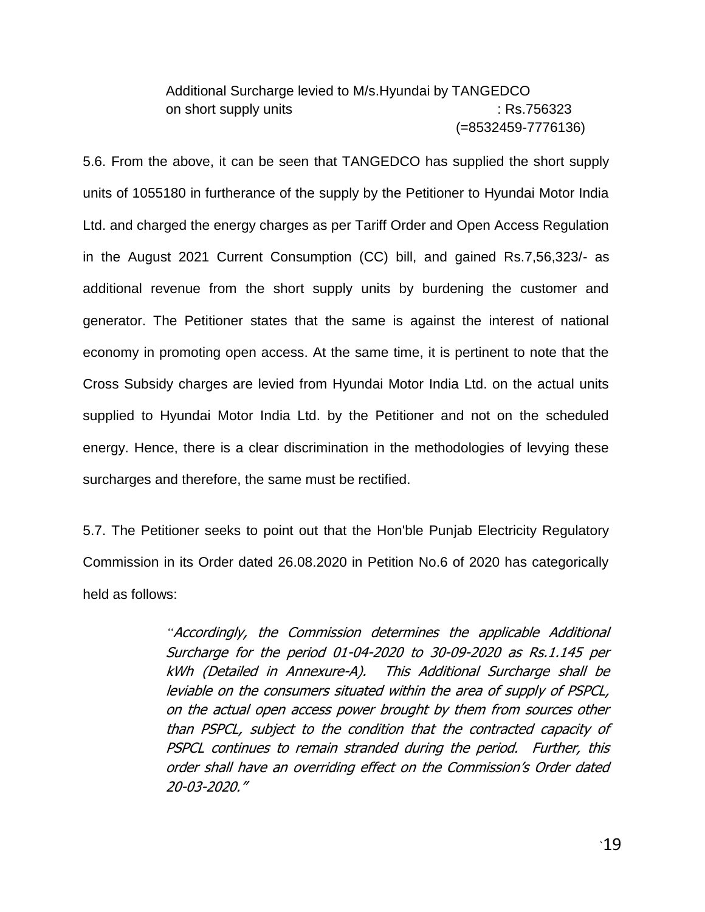# Additional Surcharge levied to M/s.Hyundai by TANGEDCO on short supply units in the state of the state of the state of the state of the state of the state of the state of the state of the state of the state of the state of the state of the state of the state of the state of th (=8532459-7776136)

5.6. From the above, it can be seen that TANGEDCO has supplied the short supply units of 1055180 in furtherance of the supply by the Petitioner to Hyundai Motor India Ltd. and charged the energy charges as per Tariff Order and Open Access Regulation in the August 2021 Current Consumption (CC) bill, and gained Rs.7,56,323/- as additional revenue from the short supply units by burdening the customer and generator. The Petitioner states that the same is against the interest of national economy in promoting open access. At the same time, it is pertinent to note that the Cross Subsidy charges are levied from Hyundai Motor India Ltd. on the actual units supplied to Hyundai Motor India Ltd. by the Petitioner and not on the scheduled energy. Hence, there is a clear discrimination in the methodologies of levying these surcharges and therefore, the same must be rectified.

5.7. The Petitioner seeks to point out that the Hon'ble Punjab Electricity Regulatory Commission in its Order dated 26.08.2020 in Petition No.6 of 2020 has categorically held as follows:

> *"*Accordingly, the Commission determines the applicable Additional Surcharge for the period 01-04-2020 to 30-09-2020 as Rs.1.145 per kWh (Detailed in Annexure-A). This Additional Surcharge shall be leviable on the consumers situated within the area of supply of PSPCL, on the actual open access power brought by them from sources other than PSPCL, subject to the condition that the contracted capacity of PSPCL continues to remain stranded during the period. Further, this order shall have an overriding effect on the Commission's Order dated 20-03-2020."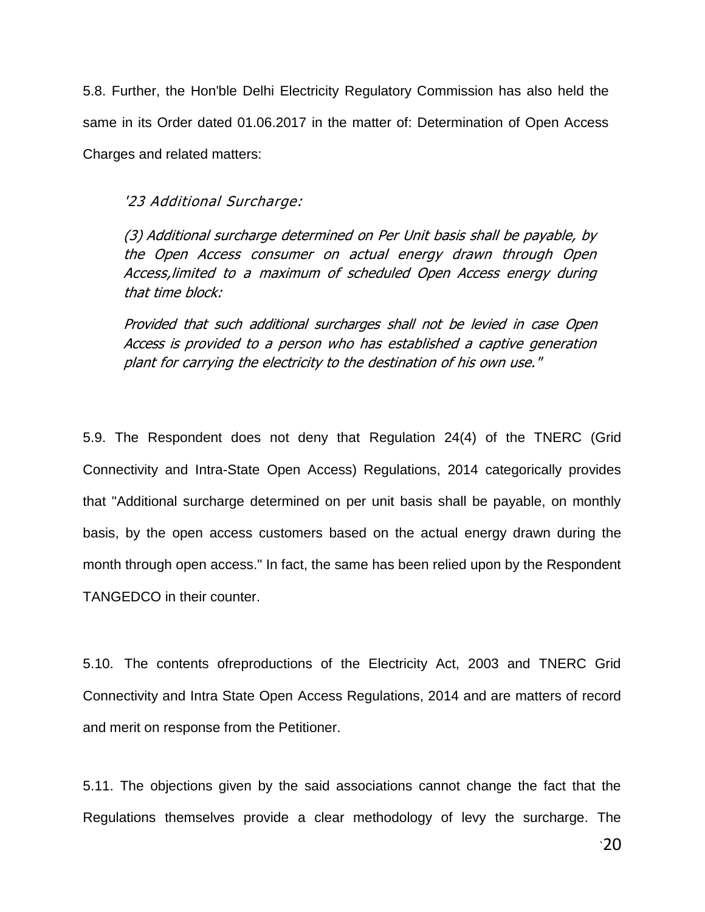5.8. Further, the Hon'ble Delhi Electricity Regulatory Commission has also held the same in its Order dated 01.06.2017 in the matter of: Determination of Open Access Charges and related matters:

### '23 Additional Surcharge:

(3) Additional surcharge determined on Per Unit basis shall be payable, by the Open Access consumer on actual energy drawn through Open Access,limited to a maximum of scheduled Open Access energy during that time block:

Provided that such additional surcharges shall not be levied in case Open Access is provided to a person who has established a captive generation plant for carrying the electricity to the destination of his own use."

5.9. The Respondent does not deny that Regulation 24(4) of the TNERC (Grid Connectivity and Intra-State Open Access) Regulations, 2014 categorically provides that "Additional surcharge determined on per unit basis shall be payable, on monthly basis, by the open access customers based on the actual energy drawn during the month through open access." In fact, the same has been relied upon by the Respondent TANGEDCO in their counter.

5.10. The contents ofreproductions of the Electricity Act, 2003 and TNERC Grid Connectivity and Intra State Open Access Regulations, 2014 and are matters of record and merit on response from the Petitioner.

5.11. The objections given by the said associations cannot change the fact that the Regulations themselves provide a clear methodology of levy the surcharge. The

 $\cdot$ 20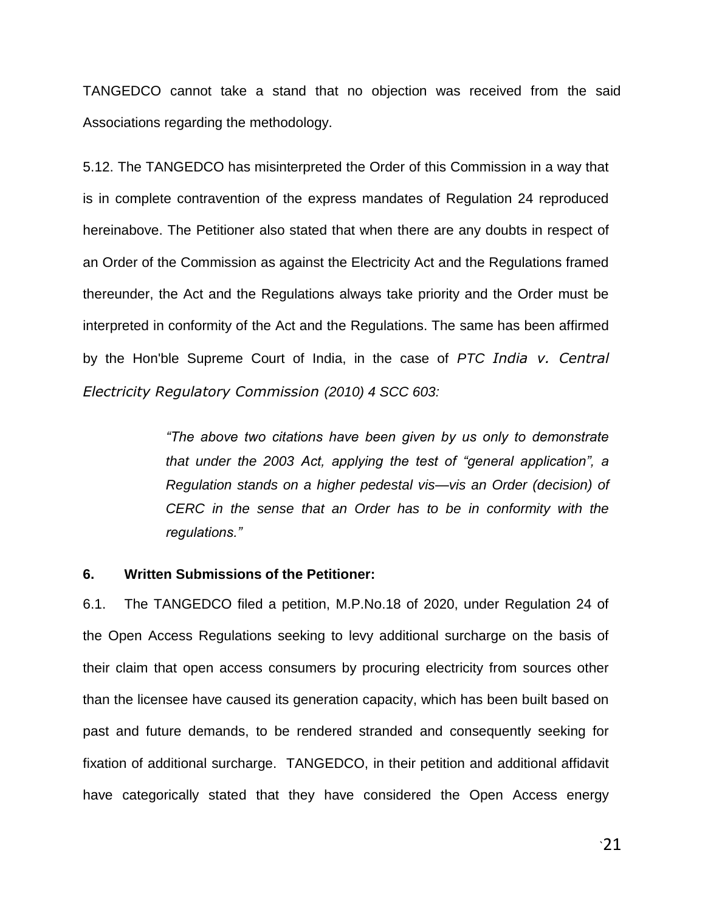TANGEDCO cannot take a stand that no objection was received from the said Associations regarding the methodology.

5.12. The TANGEDCO has misinterpreted the Order of this Commission in a way that is in complete contravention of the express mandates of Regulation 24 reproduced hereinabove. The Petitioner also stated that when there are any doubts in respect of an Order of the Commission as against the Electricity Act and the Regulations framed thereunder, the Act and the Regulations always take priority and the Order must be interpreted in conformity of the Act and the Regulations. The same has been affirmed by the Hon'ble Supreme Court of India, in the case of *PTC India v. Central Electricity Regulatory Commission (2010) 4 SCC 603:*

> *―The above two citations have been given by us only to demonstrate*  that under the 2003 Act, applying the test of "general application", a *Regulation stands on a higher pedestal vis—vis an Order (decision) of CERC in the sense that an Order has to be in conformity with the regulations.‖*

#### **6. Written Submissions of the Petitioner:**

6.1. The TANGEDCO filed a petition, M.P.No.18 of 2020, under Regulation 24 of the Open Access Regulations seeking to levy additional surcharge on the basis of their claim that open access consumers by procuring electricity from sources other than the licensee have caused its generation capacity, which has been built based on past and future demands, to be rendered stranded and consequently seeking for fixation of additional surcharge. TANGEDCO, in their petition and additional affidavit have categorically stated that they have considered the Open Access energy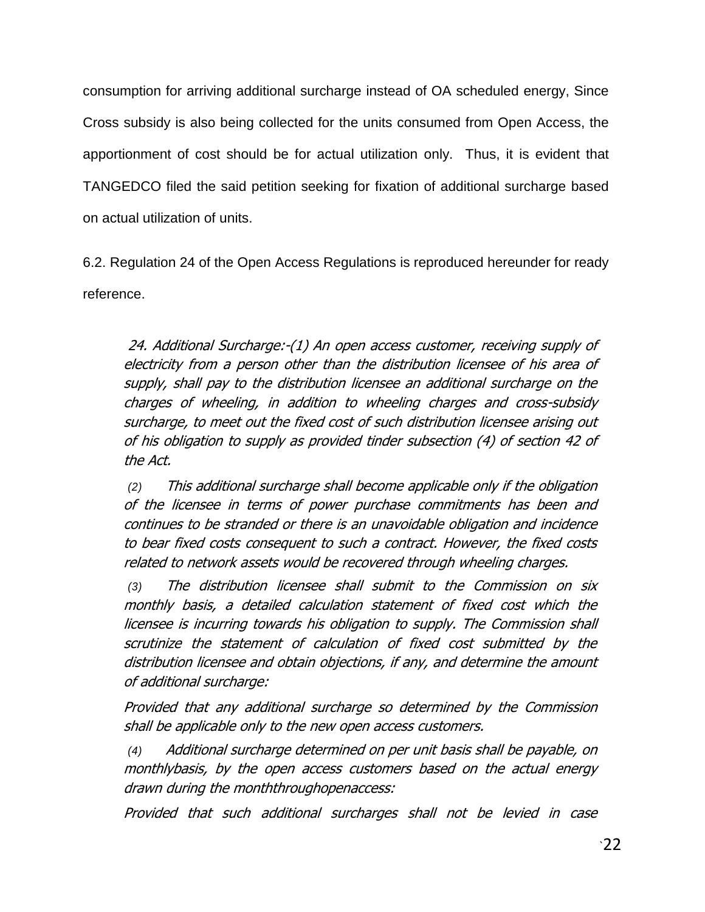consumption for arriving additional surcharge instead of OA scheduled energy, Since Cross subsidy is also being collected for the units consumed from Open Access, the apportionment of cost should be for actual utilization only. Thus, it is evident that TANGEDCO filed the said petition seeking for fixation of additional surcharge based on actual utilization of units.

6.2. Regulation 24 of the Open Access Regulations is reproduced hereunder for ready reference.

24. Additional Surcharge:-(1) An open access customer, receiving supply of electricity from a person other than the distribution licensee of his area of supply, shall pay to the distribution licensee an additional surcharge on the charges of wheeling, in addition to wheeling charges and cross-subsidy surcharge, to meet out the fixed cost of such distribution licensee arising out of his obligation to supply as provided tinder subsection (4) of section 42 of the Act.

*(2)* This additional surcharge shall become applicable only if the obligation of the licensee in terms of power purchase commitments has been and continues to be stranded or there is an unavoidable obligation and incidence to bear fixed costs consequent to such a contract. However, the fixed costs related to network assets would be recovered through wheeling charges.

*(3)* The distribution licensee shall submit to the Commission on six monthly basis, a detailed calculation statement of fixed cost which the licensee is incurring towards his obligation to supply. The Commission shall scrutinize the statement of calculation of fixed cost submitted by the distribution licensee and obtain objections, if any, and determine the amount of additional surcharge:

Provided that any additional surcharge so determined by the Commission shall be applicable only to the new open access customers.

*(4)* Additional surcharge determined on per unit basis shall be payable, on monthlybasis, by the open access customers based on the actual energy drawn during the monththroughopenaccess:

Provided that such additional surcharges shall not be levied in case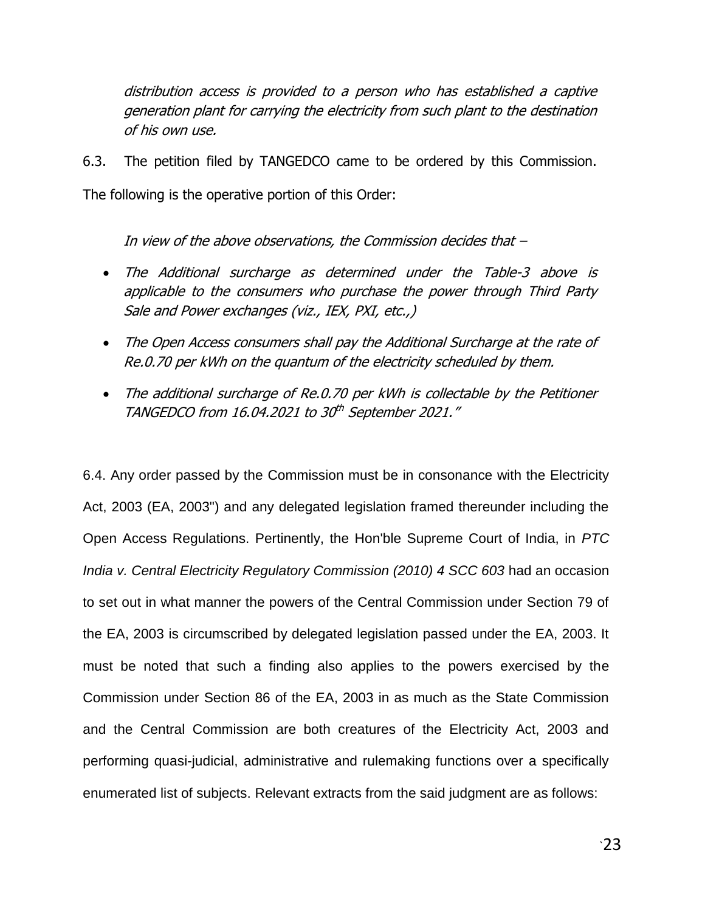distribution access is provided to a person who has established a captive generation plant for carrying the electricity from such plant to the destination of his own use.

6.3. The petition filed by TANGEDCO came to be ordered by this Commission.

The following is the operative portion of this Order:

In view of the above observations, the Commission decides that –

- The Additional surcharge as determined under the Table-3 above is applicable to the consumers who purchase the power through Third Party Sale and Power exchanges (viz., IEX, PXI, etc.,)
- The Open Access consumers shall pay the Additional Surcharge at the rate of Re.0.70 per kWh on the quantum of the electricity scheduled by them.
- The additional surcharge of Re.0.70 per kWh is collectable by the Petitioner TANGEDCO from 16.04.2021 to 30<sup>th</sup> September 2021."

6.4. Any order passed by the Commission must be in consonance with the Electricity Act, 2003 (EA, 2003") and any delegated legislation framed thereunder including the Open Access Regulations. Pertinently, the Hon'ble Supreme Court of India, in *PTC India v. Central Electricity Regulatory Commission (2010) 4 SCC 603* had an occasion to set out in what manner the powers of the Central Commission under Section 79 of the EA, 2003 is circumscribed by delegated legislation passed under the EA, 2003. It must be noted that such a finding also applies to the powers exercised by the Commission under Section 86 of the EA, 2003 in as much as the State Commission and the Central Commission are both creatures of the Electricity Act, 2003 and performing quasi-judicial, administrative and rulemaking functions over a specifically enumerated list of subjects. Relevant extracts from the said judgment are as follows: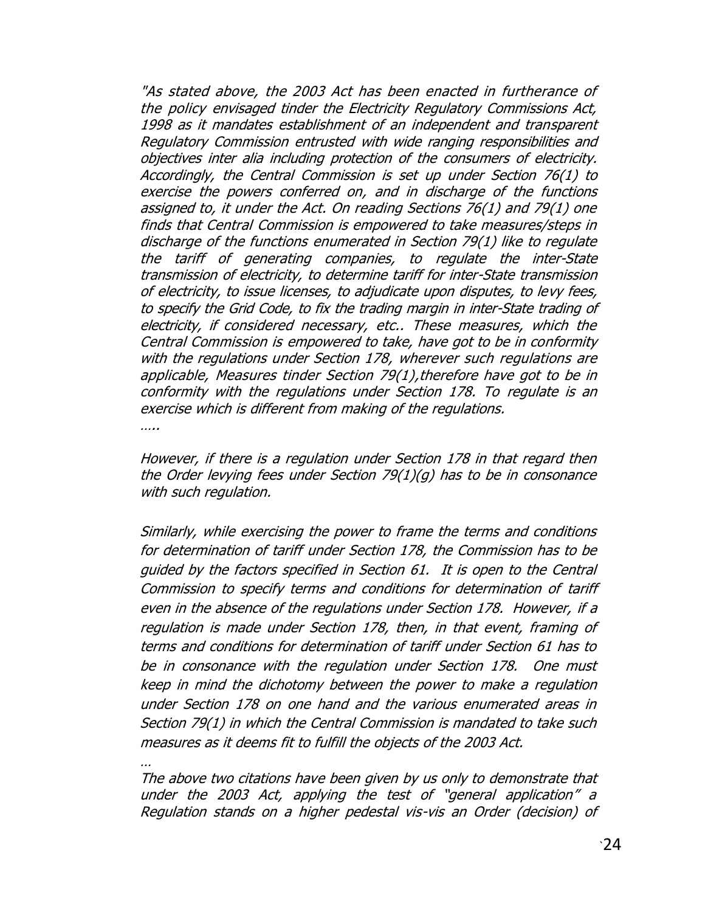"As stated above, the 2003 Act has been enacted in furtherance of the policy envisaged tinder the Electricity Regulatory Commissions Act, 1998 as it mandates establishment of an independent and transparent Regulatory Commission entrusted with wide ranging responsibilities and objectives inter alia including protection of the consumers of electricity. Accordingly, the Central Commission is set up under Section 76(1) to exercise the powers conferred on, and in discharge of the functions assigned to, it under the Act. On reading Sections 76(1) and 79(1) one finds that Central Commission is empowered to take measures/steps in discharge of the functions enumerated in Section 79(1) like to regulate the tariff of generating companies, to regulate the inter-State transmission of electricity, to determine tariff for inter-State transmission of electricity, to issue licenses, to adjudicate upon disputes, to levy fees, to specify the Grid Code, to fix the trading margin in inter-State trading of electricity, if considered necessary, etc.. These measures, which the Central Commission is empowered to take, have got to be in conformity with the regulations under Section 178, wherever such regulations are applicable, Measures tinder Section 79(1),therefore have got to be in conformity with the regulations under Section 178. To regulate is an exercise which is different from making of the regulations.

….

…

However, if there is a regulation under Section 178 in that regard then the Order levying fees under Section 79(1)(g) has to be in consonance with such regulation.

Similarly, while exercising the power to frame the terms and conditions for determination of tariff under Section 178, the Commission has to be guided by the factors specified in Section 61. It is open to the Central Commission to specify terms and conditions for determination of tariff even in the absence of the regulations under Section 178. However, if a regulation is made under Section 178, then, in that event, framing of terms and conditions for determination of tariff under Section 61 has to be in consonance with the regulation under Section 178. One must keep in mind the dichotomy between the power to make a regulation under Section 178 on one hand and the various enumerated areas in Section 79(1) in which the Central Commission is mandated to take such measures as it deems fit to fulfill the objects of the 2003 Act.

The above two citations have been given by us only to demonstrate that under the 2003 Act, applying the test of "general application" a Regulation stands on a higher pedestal vis-vis an Order (decision) of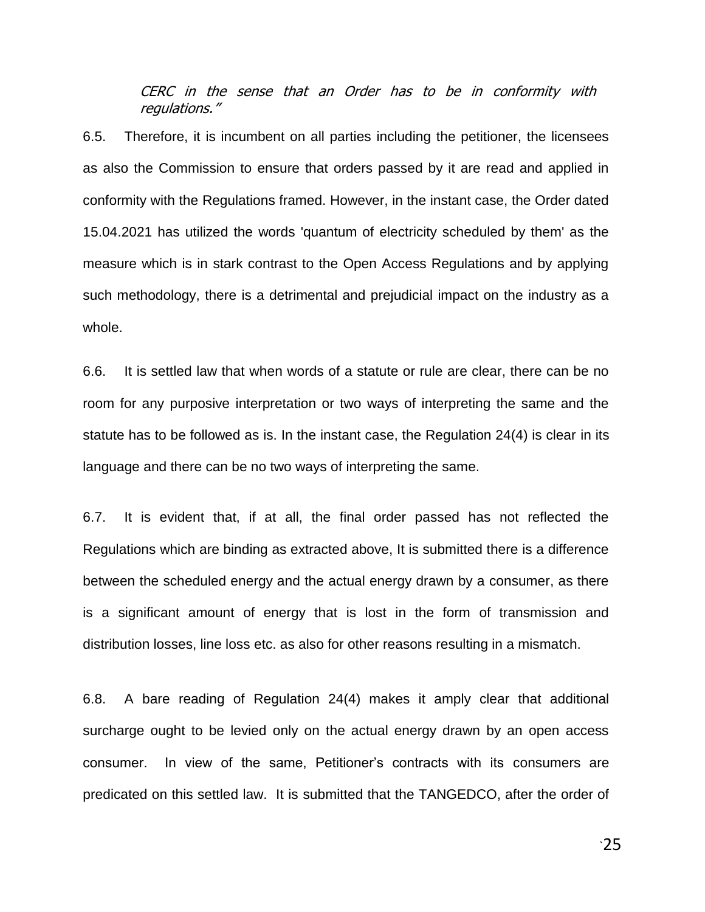CERC in the sense that an Order has to be in conformity with regulations."

6.5. Therefore, it is incumbent on all parties including the petitioner, the licensees as also the Commission to ensure that orders passed by it are read and applied in conformity with the Regulations framed. However, in the instant case, the Order dated 15.04.2021 has utilized the words 'quantum of electricity scheduled by them' as the measure which is in stark contrast to the Open Access Regulations and by applying such methodology, there is a detrimental and prejudicial impact on the industry as a whole.

6.6. It is settled law that when words of a statute or rule are clear, there can be no room for any purposive interpretation or two ways of interpreting the same and the statute has to be followed as is. In the instant case, the Regulation 24(4) is clear in its language and there can be no two ways of interpreting the same.

6.7. It is evident that, if at all, the final order passed has not reflected the Regulations which are binding as extracted above, It is submitted there is a difference between the scheduled energy and the actual energy drawn by a consumer, as there is a significant amount of energy that is lost in the form of transmission and distribution losses, line loss etc. as also for other reasons resulting in a mismatch.

6.8. A bare reading of Regulation 24(4) makes it amply clear that additional surcharge ought to be levied only on the actual energy drawn by an open access consumer. In view of the same, Petitioner"s contracts with its consumers are predicated on this settled law. It is submitted that the TANGEDCO, after the order of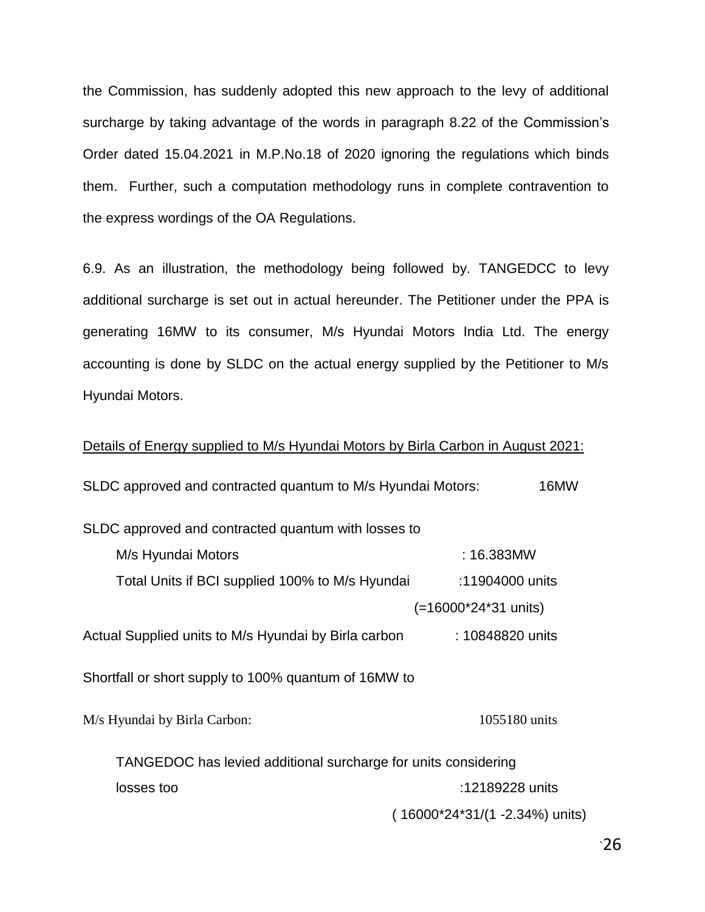the Commission, has suddenly adopted this new approach to the levy of additional surcharge by taking advantage of the words in paragraph 8.22 of the Commission's Order dated 15.04.2021 in M.P.No.18 of 2020 ignoring the regulations which binds them. Further, such a computation methodology runs in complete contravention to the express wordings of the OA Regulations.

6.9. As an illustration, the methodology being followed by. TANGEDCC to levy additional surcharge is set out in actual hereunder. The Petitioner under the PPA is generating 16MW to its consumer, M/s Hyundai Motors India Ltd. The energy accounting is done by SLDC on the actual energy supplied by the Petitioner to M/s Hyundai Motors.

### Details of Energy supplied to M/s Hyundai Motors by Birla Carbon in August 2021:

| SLDC approved and contracted quantum to M/s Hyundai Motors:    | 16MW                           |
|----------------------------------------------------------------|--------------------------------|
| SLDC approved and contracted quantum with losses to            |                                |
| M/s Hyundai Motors                                             | : 16.383MW                     |
| Total Units if BCI supplied 100% to M/s Hyundai                | :11904000 units                |
|                                                                | (=16000*24*31 units)           |
| Actual Supplied units to M/s Hyundai by Birla carbon           | : 10848820 units               |
| Shortfall or short supply to 100% quantum of 16MW to           |                                |
| M/s Hyundai by Birla Carbon:                                   | 1055180 units                  |
| TANGEDOC has levied additional surcharge for units considering |                                |
| losses too                                                     | :12189228 units                |
|                                                                | (16000*24*31/(1 -2.34%) units) |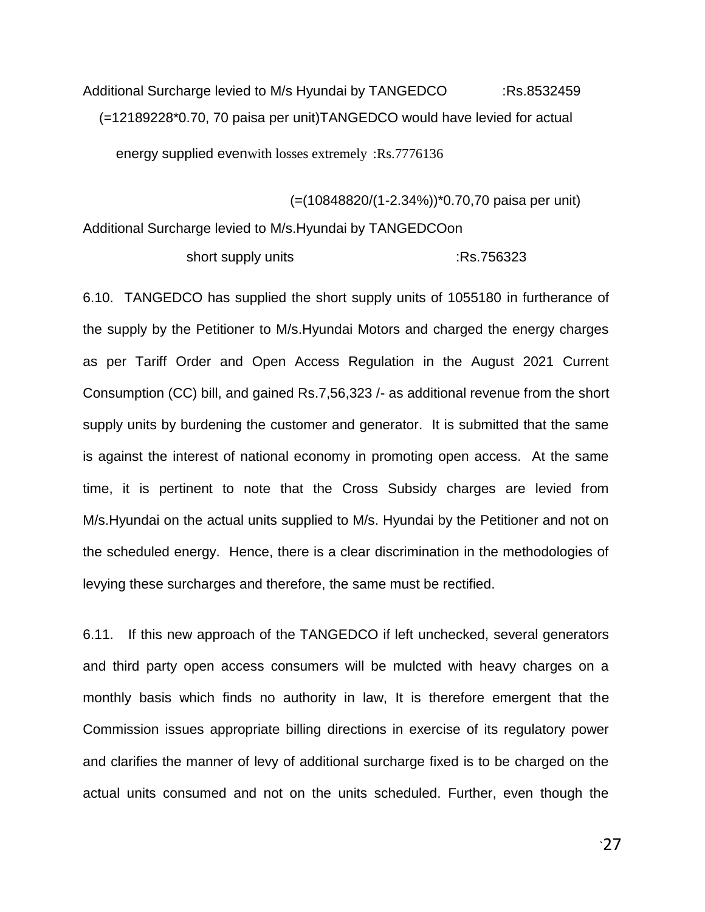Additional Surcharge levied to M/s Hyundai by TANGEDCO :RS.8532459 (=12189228\*0.70, 70 paisa per unit)TANGEDCO would have levied for actual

energy supplied evenwith losses extremely :Rs.7776136

(=(10848820/(1-2.34%))\*0.70,70 paisa per unit) Additional Surcharge levied to M/s.Hyundai by TANGEDCOon

short supply units :Rs.756323

6.10. TANGEDCO has supplied the short supply units of 1055180 in furtherance of the supply by the Petitioner to M/s.Hyundai Motors and charged the energy charges as per Tariff Order and Open Access Regulation in the August 2021 Current Consumption (CC) bill, and gained Rs.7,56,323 /- as additional revenue from the short supply units by burdening the customer and generator. It is submitted that the same is against the interest of national economy in promoting open access. At the same time, it is pertinent to note that the Cross Subsidy charges are levied from M/s.Hyundai on the actual units supplied to M/s. Hyundai by the Petitioner and not on the scheduled energy. Hence, there is a clear discrimination in the methodologies of levying these surcharges and therefore, the same must be rectified.

6.11. If this new approach of the TANGEDCO if left unchecked, several generators and third party open access consumers will be mulcted with heavy charges on a monthly basis which finds no authority in law, It is therefore emergent that the Commission issues appropriate billing directions in exercise of its regulatory power and clarifies the manner of levy of additional surcharge fixed is to be charged on the actual units consumed and not on the units scheduled. Further, even though the

 $\cdot$ 27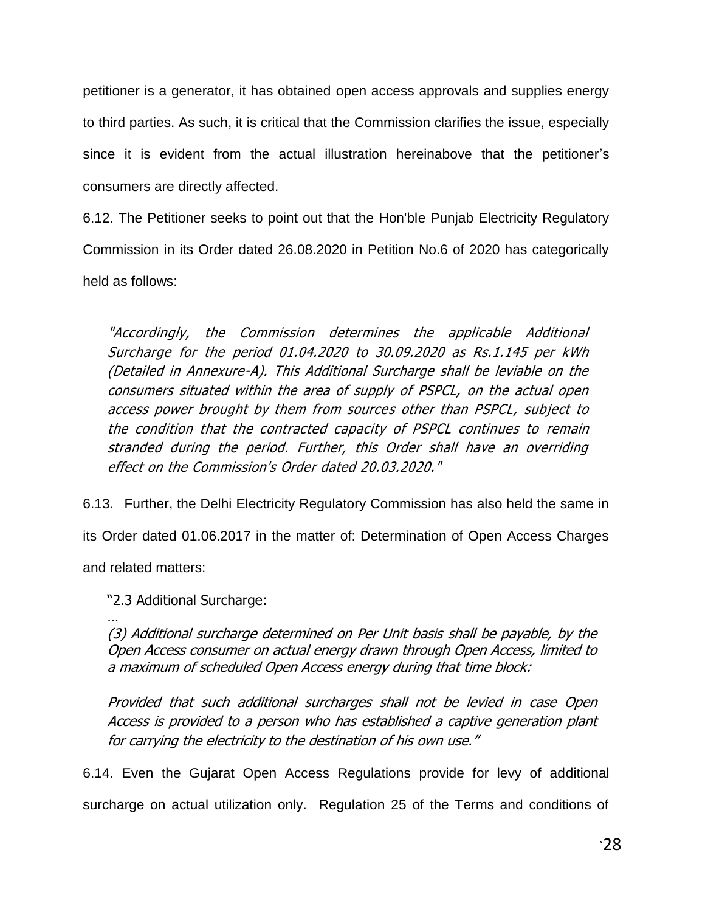petitioner is a generator, it has obtained open access approvals and supplies energy to third parties. As such, it is critical that the Commission clarifies the issue, especially since it is evident from the actual illustration hereinabove that the petitioner's consumers are directly affected.

6.12. The Petitioner seeks to point out that the Hon'ble Punjab Electricity Regulatory Commission in its Order dated 26.08.2020 in Petition No.6 of 2020 has categorically held as follows:

"Accordingly, the Commission determines the applicable Additional Surcharge for the period 01.04.2020 to 30.09.2020 as Rs.1.145 per kWh (Detailed in Annexure-A). This Additional Surcharge shall be leviable on the consumers situated within the area of supply of PSPCL, on the actual open access power brought by them from sources other than PSPCL, subject to the condition that the contracted capacity of PSPCL continues to remain stranded during the period. Further, this Order shall have an overriding effect on the Commission's Order dated 20.03.2020."

6.13. Further, the Delhi Electricity Regulatory Commission has also held the same in

its Order dated 01.06.2017 in the matter of: Determination of Open Access Charges

and related matters:

"2.3 Additional Surcharge:

… (3) Additional surcharge determined on Per Unit basis shall be payable, by the Open Access consumer on actual energy drawn through Open Access, limited to a maximum of scheduled Open Access energy during that time block:

Provided that such additional surcharges shall not be levied in case Open Access is provided to a person who has established a captive generation plant for carrying the electricity to the destination of his own use."

6.14. Even the Gujarat Open Access Regulations provide for levy of additional

surcharge on actual utilization only. Regulation 25 of the Terms and conditions of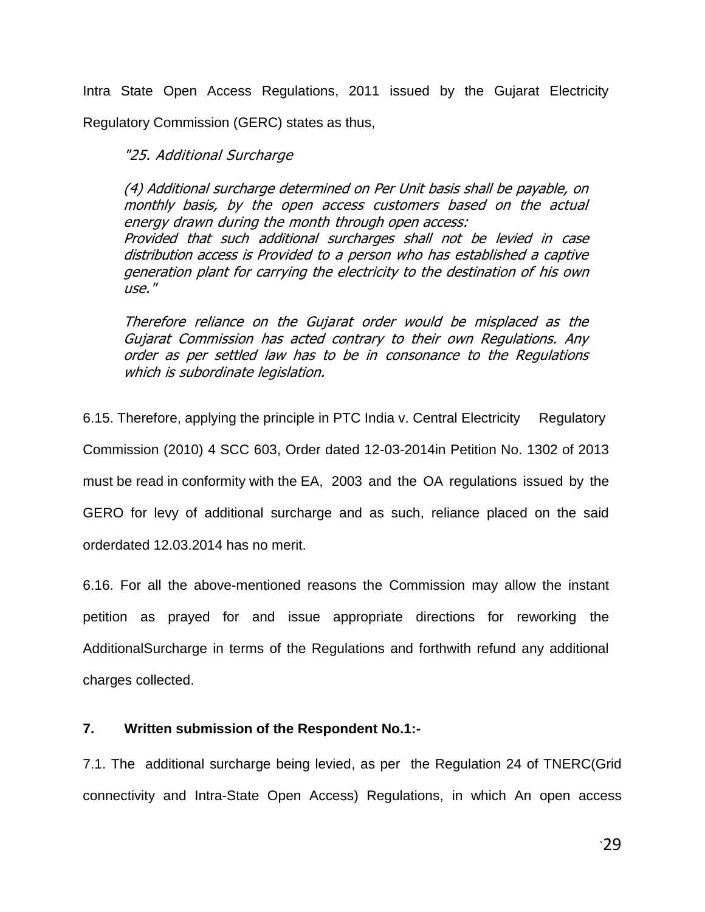Intra State Open Access Regulations, 2011 issued by the Gujarat Electricity Regulatory Commission (GERC) states as thus,

"25. Additional Surcharge

(4) Additional surcharge determined on Per Unit basis shall be payable, on monthly basis, by the open access customers based on the actual energy drawn during the month through open access: Provided that such additional surcharges shall not be levied in case distribution access is Provided to a person who has established a captive generation plant for carrying the electricity to the destination of his own use."

Therefore reliance on the Gujarat order would be misplaced as the Gujarat Commission has acted contrary to their own Regulations. Any order as per settled law has to be in consonance to the Regulations which is subordinate legislation.

6.15. Therefore, applying the principle in PTC India v. Central Electricity Regulatory Commission (2010) 4 SCC 603, Order dated 12-03-2014in Petition No. 1302 of 2013 must be read in conformity with the EA, 2003 and the OA regulations issued by the GERO for levy of additional surcharge and as such, reliance placed on the said orderdated 12.03.2014 has no merit.

6.16. For all the above-mentioned reasons the Commission may allow the instant petition as prayed for and issue appropriate directions for reworking the AdditionalSurcharge in terms of the Regulations and forthwith refund any additional charges collected.

### **7. Written submission of the Respondent No.1:-**

7.1. The additional surcharge being levied, as per the Regulation 24 of TNERC(Grid connectivity and Intra-State Open Access) Regulations, in which An open access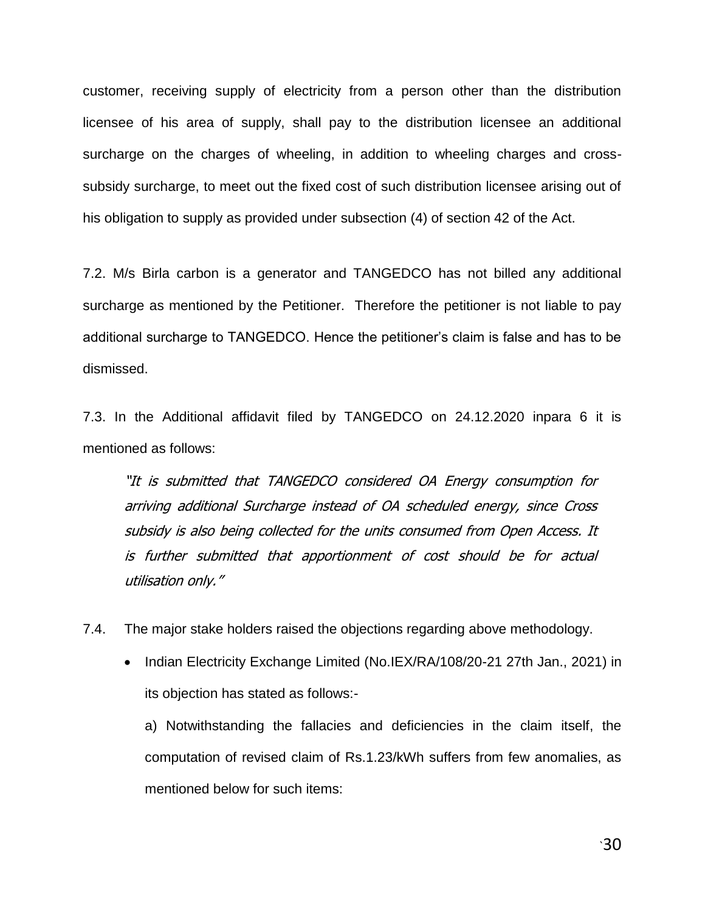customer, receiving supply of electricity from a person other than the distribution licensee of his area of supply, shall pay to the distribution licensee an additional surcharge on the charges of wheeling, in addition to wheeling charges and crosssubsidy surcharge, to meet out the fixed cost of such distribution licensee arising out of his obligation to supply as provided under subsection (4) of section 42 of the Act.

7.2. M/s Birla carbon is a generator and TANGEDCO has not billed any additional surcharge as mentioned by the Petitioner. Therefore the petitioner is not liable to pay additional surcharge to TANGEDCO. Hence the petitioner"s claim is false and has to be dismissed.

7.3. In the Additional affidavit filed by TANGEDCO on 24.12.2020 inpara 6 it is mentioned as follows:

"It is submitted that TANGEDCO considered OA Energy consumption for arriving additional Surcharge instead of OA scheduled energy, since Cross subsidy is also being collected for the units consumed from Open Access. It is further submitted that apportionment of cost should be for actual utilisation only."

7.4. The major stake holders raised the objections regarding above methodology.

• Indian Electricity Exchange Limited (No.IEX/RA/108/20-21 27th Jan., 2021) in its objection has stated as follows:-

a) Notwithstanding the fallacies and deficiencies in the claim itself, the computation of revised claim of Rs.1.23/kWh suffers from few anomalies, as mentioned below for such items: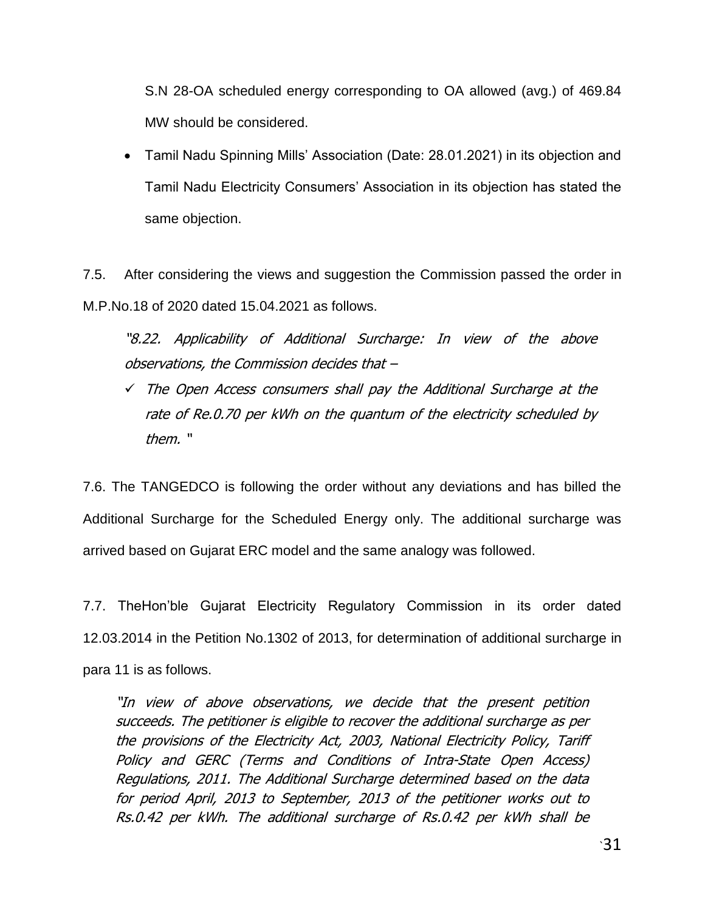S.N 28-OA scheduled energy corresponding to OA allowed (avg.) of 469.84 MW should be considered.

 Tamil Nadu Spinning Mills" Association (Date: 28.01.2021) in its objection and Tamil Nadu Electricity Consumers" Association in its objection has stated the same objection.

7.5. After considering the views and suggestion the Commission passed the order in M.P.No.18 of 2020 dated 15.04.2021 as follows.

"8.22. Applicability of Additional Surcharge: In view of the above observations, the Commission decides that –

 The Open Access consumers shall pay the Additional Surcharge at the rate of Re.0.70 per kWh on the quantum of the electricity scheduled by them. "

7.6. The TANGEDCO is following the order without any deviations and has billed the Additional Surcharge for the Scheduled Energy only. The additional surcharge was arrived based on Gujarat ERC model and the same analogy was followed.

7.7. TheHon"ble Gujarat Electricity Regulatory Commission in its order dated 12.03.2014 in the Petition No.1302 of 2013, for determination of additional surcharge in para 11 is as follows.

"In view of above observations, we decide that the present petition succeeds. The petitioner is eligible to recover the additional surcharge as per the provisions of the Electricity Act, 2003, National Electricity Policy, Tariff Policy and GERC (Terms and Conditions of Intra-State Open Access) Regulations, 2011. The Additional Surcharge determined based on the data for period April, 2013 to September, 2013 of the petitioner works out to Rs.0.42 per kWh. The additional surcharge of Rs.0.42 per kWh shall be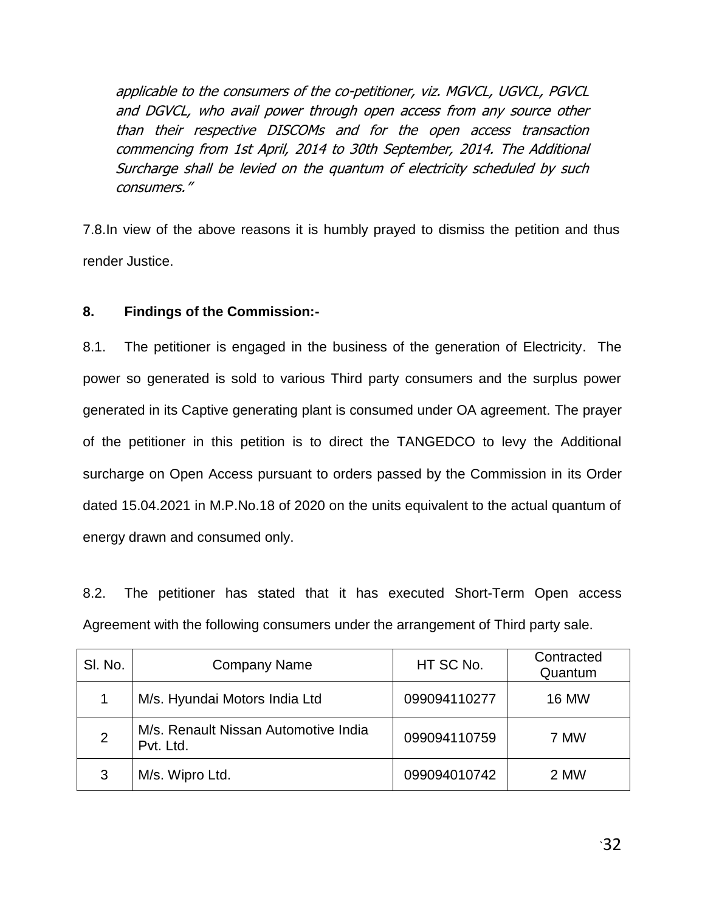applicable to the consumers of the co-petitioner, viz. MGVCL, UGVCL, PGVCL and DGVCL, who avail power through open access from any source other than their respective DISCOMs and for the open access transaction commencing from 1st April, 2014 to 30th September, 2014. The Additional Surcharge shall be levied on the quantum of electricity scheduled by such consumers."

7.8.In view of the above reasons it is humbly prayed to dismiss the petition and thus render Justice.

# **8. Findings of the Commission:-**

8.1. The petitioner is engaged in the business of the generation of Electricity. The power so generated is sold to various Third party consumers and the surplus power generated in its Captive generating plant is consumed under OA agreement. The prayer of the petitioner in this petition is to direct the TANGEDCO to levy the Additional surcharge on Open Access pursuant to orders passed by the Commission in its Order dated 15.04.2021 in M.P.No.18 of 2020 on the units equivalent to the actual quantum of energy drawn and consumed only.

8.2. The petitioner has stated that it has executed Short-Term Open access Agreement with the following consumers under the arrangement of Third party sale.

| SI. No.        | <b>Company Name</b>                               | HT SC No.    | Contracted<br>Quantum |
|----------------|---------------------------------------------------|--------------|-----------------------|
|                | M/s. Hyundai Motors India Ltd                     | 099094110277 | <b>16 MW</b>          |
| $\overline{2}$ | M/s. Renault Nissan Automotive India<br>Pvt. Ltd. | 099094110759 | 7 MW                  |
| 3              | M/s. Wipro Ltd.                                   | 099094010742 | 2 MW                  |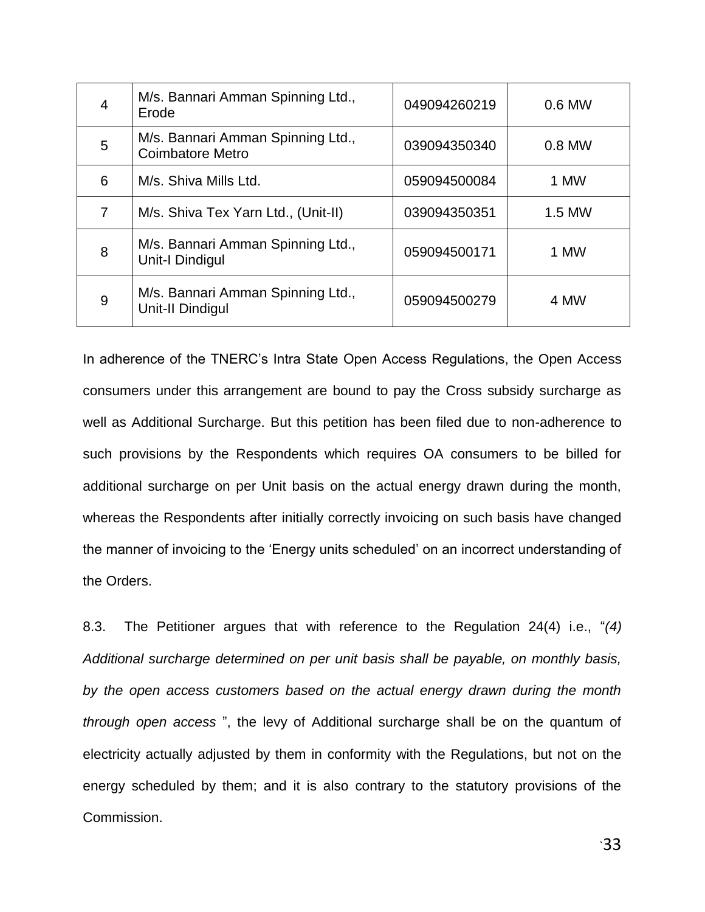| 4 | M/s. Bannari Amman Spinning Ltd.,<br>Erode                  | 049094260219 | 0.6 MW |
|---|-------------------------------------------------------------|--------------|--------|
| 5 | M/s. Bannari Amman Spinning Ltd.,<br>Coimbatore Metro       | 039094350340 | 0.8 MW |
| 6 | M/s. Shiva Mills Ltd.                                       | 059094500084 | 1 MW   |
| 7 | M/s. Shiva Tex Yarn Ltd., (Unit-II)                         | 039094350351 | 1.5 MW |
| 8 | M/s. Bannari Amman Spinning Ltd.,<br><b>Unit-I Dindigul</b> | 059094500171 | 1 MW   |
| 9 | M/s. Bannari Amman Spinning Ltd.,<br>Unit-II Dindigul       | 059094500279 | 4 MW   |

In adherence of the TNERC"s Intra State Open Access Regulations, the Open Access consumers under this arrangement are bound to pay the Cross subsidy surcharge as well as Additional Surcharge. But this petition has been filed due to non-adherence to such provisions by the Respondents which requires OA consumers to be billed for additional surcharge on per Unit basis on the actual energy drawn during the month, whereas the Respondents after initially correctly invoicing on such basis have changed the manner of invoicing to the "Energy units scheduled" on an incorrect understanding of the Orders.

8.3. The Petitioner argues that with reference to the Regulation 24(4) i.e., "*(4) Additional surcharge determined on per unit basis shall be payable, on monthly basis, by the open access customers based on the actual energy drawn during the month through open access* ", the levy of Additional surcharge shall be on the quantum of electricity actually adjusted by them in conformity with the Regulations, but not on the energy scheduled by them; and it is also contrary to the statutory provisions of the Commission.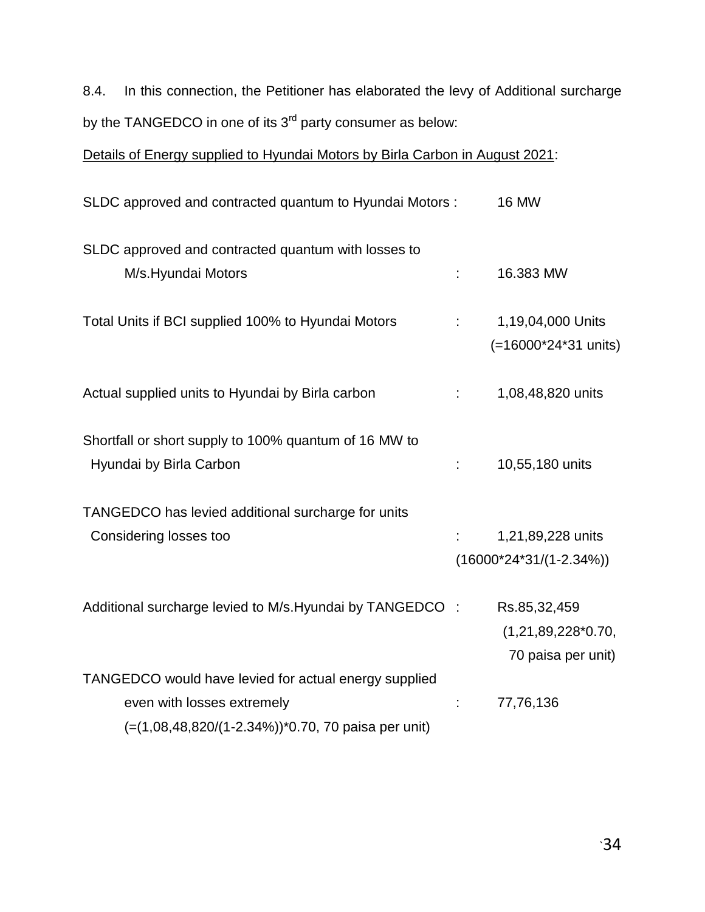8.4. In this connection, the Petitioner has elaborated the levy of Additional surcharge by the TANGEDCO in one of its 3<sup>rd</sup> party consumer as below:

Details of Energy supplied to Hyundai Motors by Birla Carbon in August 2021:

| SLDC approved and contracted quantum to Hyundai Motors :  |    | <b>16 MW</b>               |
|-----------------------------------------------------------|----|----------------------------|
| SLDC approved and contracted quantum with losses to       |    |                            |
| M/s.Hyundai Motors                                        |    | 16.383 MW                  |
| Total Units if BCI supplied 100% to Hyundai Motors        | ÷. | 1,19,04,000 Units          |
|                                                           |    | (=16000*24*31 units)       |
| Actual supplied units to Hyundai by Birla carbon          | ÷. | 1,08,48,820 units          |
| Shortfall or short supply to 100% quantum of 16 MW to     |    |                            |
| Hyundai by Birla Carbon                                   | ÷. | 10,55,180 units            |
| TANGEDCO has levied additional surcharge for units        |    |                            |
| Considering losses too                                    |    | 1,21,89,228 units          |
|                                                           |    | $(16000*24*31/(1-2.34\%))$ |
| Additional surcharge levied to M/s. Hyundai by TANGEDCO : |    | Rs.85,32,459               |
|                                                           |    | $(1,21,89,228*0.70,$       |
|                                                           |    | 70 paisa per unit)         |
| TANGEDCO would have levied for actual energy supplied     |    |                            |
| even with losses extremely                                |    | 77,76,136                  |
| (=(1,08,48,820/(1-2.34%))*0.70, 70 paisa per unit)        |    |                            |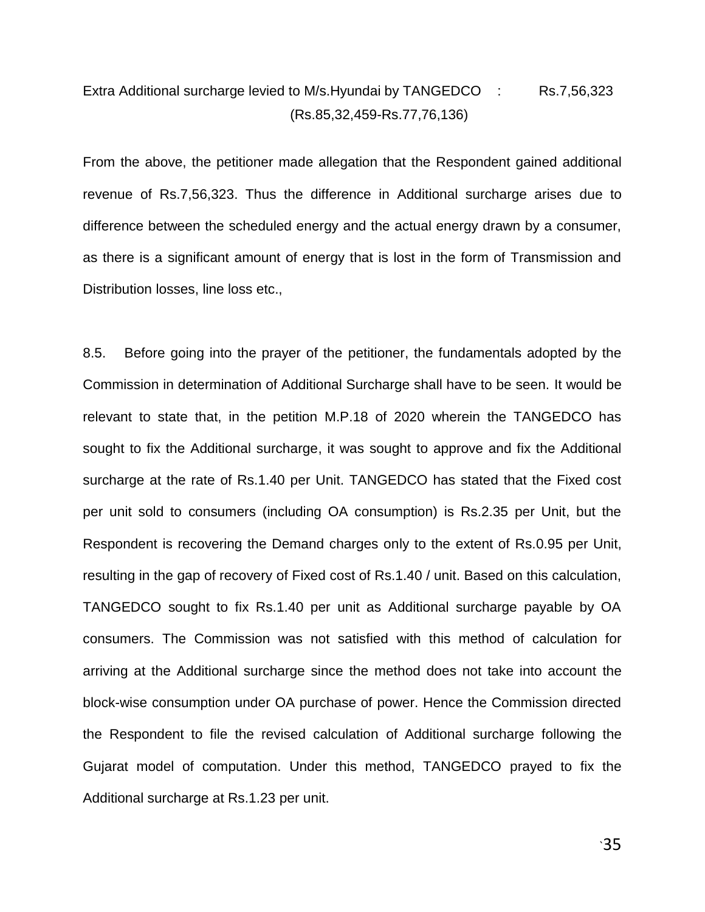# Extra Additional surcharge levied to M/s. Hyundai by TANGEDCO : Rs.7,56,323 (Rs.85,32,459-Rs.77,76,136)

From the above, the petitioner made allegation that the Respondent gained additional revenue of Rs.7,56,323. Thus the difference in Additional surcharge arises due to difference between the scheduled energy and the actual energy drawn by a consumer, as there is a significant amount of energy that is lost in the form of Transmission and Distribution losses, line loss etc.,

8.5. Before going into the prayer of the petitioner, the fundamentals adopted by the Commission in determination of Additional Surcharge shall have to be seen. It would be relevant to state that, in the petition M.P.18 of 2020 wherein the TANGEDCO has sought to fix the Additional surcharge, it was sought to approve and fix the Additional surcharge at the rate of Rs.1.40 per Unit. TANGEDCO has stated that the Fixed cost per unit sold to consumers (including OA consumption) is Rs.2.35 per Unit, but the Respondent is recovering the Demand charges only to the extent of Rs.0.95 per Unit, resulting in the gap of recovery of Fixed cost of Rs.1.40 / unit. Based on this calculation, TANGEDCO sought to fix Rs.1.40 per unit as Additional surcharge payable by OA consumers. The Commission was not satisfied with this method of calculation for arriving at the Additional surcharge since the method does not take into account the block-wise consumption under OA purchase of power. Hence the Commission directed the Respondent to file the revised calculation of Additional surcharge following the Gujarat model of computation. Under this method, TANGEDCO prayed to fix the Additional surcharge at Rs.1.23 per unit.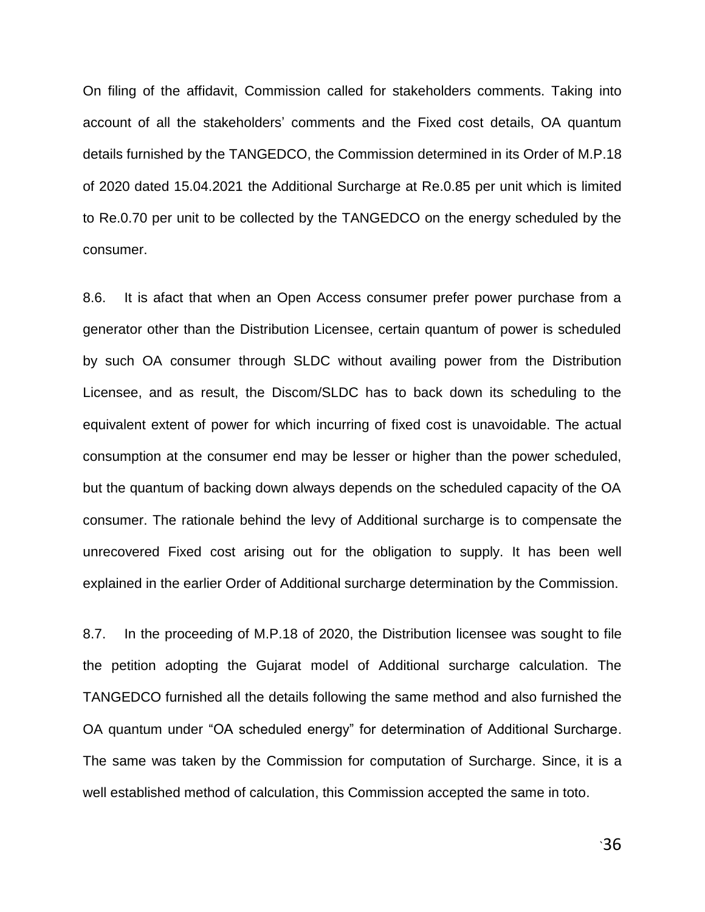On filing of the affidavit, Commission called for stakeholders comments. Taking into account of all the stakeholders' comments and the Fixed cost details, OA quantum details furnished by the TANGEDCO, the Commission determined in its Order of M.P.18 of 2020 dated 15.04.2021 the Additional Surcharge at Re.0.85 per unit which is limited to Re.0.70 per unit to be collected by the TANGEDCO on the energy scheduled by the consumer.

8.6. It is afact that when an Open Access consumer prefer power purchase from a generator other than the Distribution Licensee, certain quantum of power is scheduled by such OA consumer through SLDC without availing power from the Distribution Licensee, and as result, the Discom/SLDC has to back down its scheduling to the equivalent extent of power for which incurring of fixed cost is unavoidable. The actual consumption at the consumer end may be lesser or higher than the power scheduled, but the quantum of backing down always depends on the scheduled capacity of the OA consumer. The rationale behind the levy of Additional surcharge is to compensate the unrecovered Fixed cost arising out for the obligation to supply. It has been well explained in the earlier Order of Additional surcharge determination by the Commission.

8.7. In the proceeding of M.P.18 of 2020, the Distribution licensee was sought to file the petition adopting the Gujarat model of Additional surcharge calculation. The TANGEDCO furnished all the details following the same method and also furnished the OA quantum under "OA scheduled energy" for determination of Additional Surcharge. The same was taken by the Commission for computation of Surcharge. Since, it is a well established method of calculation, this Commission accepted the same in toto.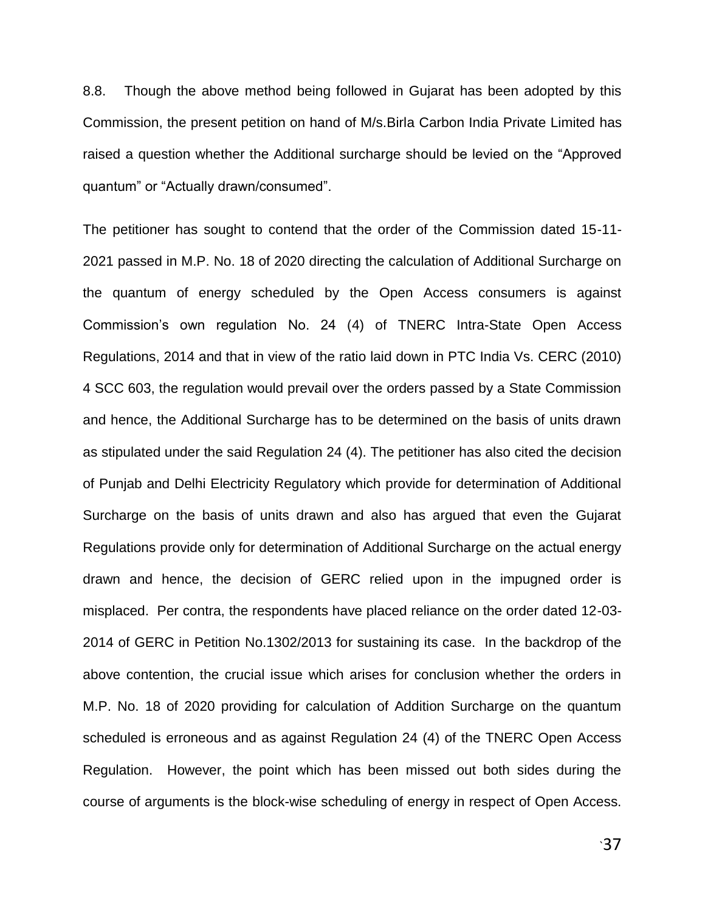8.8. Though the above method being followed in Gujarat has been adopted by this Commission, the present petition on hand of M/s.Birla Carbon India Private Limited has raised a question whether the Additional surcharge should be levied on the "Approved quantum" or "Actually drawn/consumed".

The petitioner has sought to contend that the order of the Commission dated 15-11- 2021 passed in M.P. No. 18 of 2020 directing the calculation of Additional Surcharge on the quantum of energy scheduled by the Open Access consumers is against Commission"s own regulation No. 24 (4) of TNERC Intra-State Open Access Regulations, 2014 and that in view of the ratio laid down in PTC India Vs. CERC (2010) 4 SCC 603, the regulation would prevail over the orders passed by a State Commission and hence, the Additional Surcharge has to be determined on the basis of units drawn as stipulated under the said Regulation 24 (4). The petitioner has also cited the decision of Punjab and Delhi Electricity Regulatory which provide for determination of Additional Surcharge on the basis of units drawn and also has argued that even the Gujarat Regulations provide only for determination of Additional Surcharge on the actual energy drawn and hence, the decision of GERC relied upon in the impugned order is misplaced. Per contra, the respondents have placed reliance on the order dated 12-03- 2014 of GERC in Petition No.1302/2013 for sustaining its case. In the backdrop of the above contention, the crucial issue which arises for conclusion whether the orders in M.P. No. 18 of 2020 providing for calculation of Addition Surcharge on the quantum scheduled is erroneous and as against Regulation 24 (4) of the TNERC Open Access Regulation. However, the point which has been missed out both sides during the course of arguments is the block-wise scheduling of energy in respect of Open Access.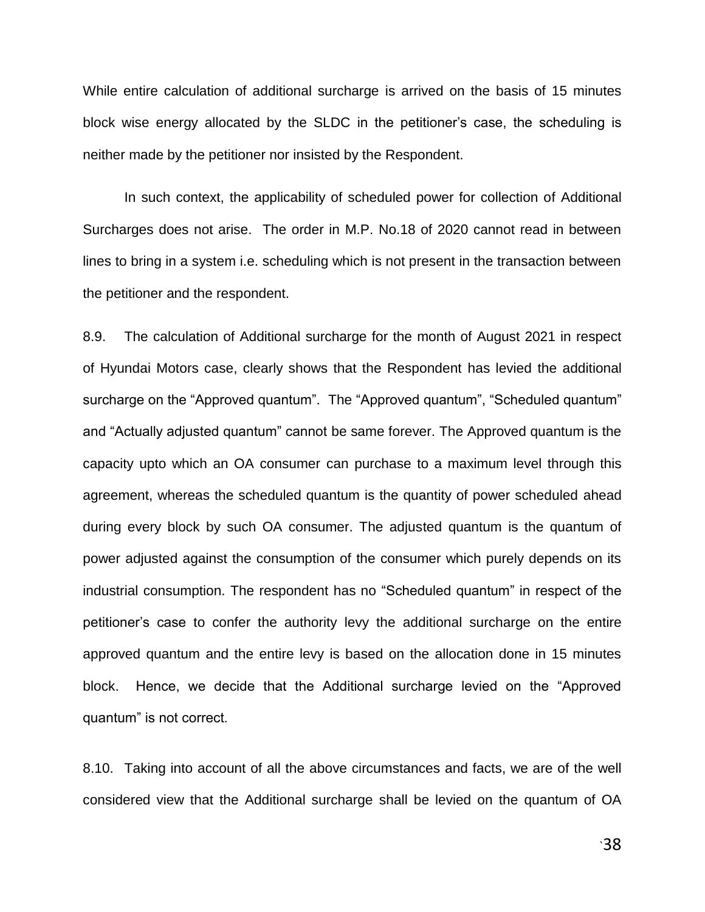While entire calculation of additional surcharge is arrived on the basis of 15 minutes block wise energy allocated by the SLDC in the petitioner"s case, the scheduling is neither made by the petitioner nor insisted by the Respondent.

In such context, the applicability of scheduled power for collection of Additional Surcharges does not arise. The order in M.P. No.18 of 2020 cannot read in between lines to bring in a system i.e. scheduling which is not present in the transaction between the petitioner and the respondent.

8.9. The calculation of Additional surcharge for the month of August 2021 in respect of Hyundai Motors case, clearly shows that the Respondent has levied the additional surcharge on the "Approved quantum". The "Approved quantum", "Scheduled quantum" and "Actually adjusted quantum" cannot be same forever. The Approved quantum is the capacity upto which an OA consumer can purchase to a maximum level through this agreement, whereas the scheduled quantum is the quantity of power scheduled ahead during every block by such OA consumer. The adjusted quantum is the quantum of power adjusted against the consumption of the consumer which purely depends on its industrial consumption. The respondent has no "Scheduled quantum" in respect of the petitioner"s case to confer the authority levy the additional surcharge on the entire approved quantum and the entire levy is based on the allocation done in 15 minutes block. Hence, we decide that the Additional surcharge levied on the "Approved quantum" is not correct.

8.10. Taking into account of all the above circumstances and facts, we are of the well considered view that the Additional surcharge shall be levied on the quantum of OA